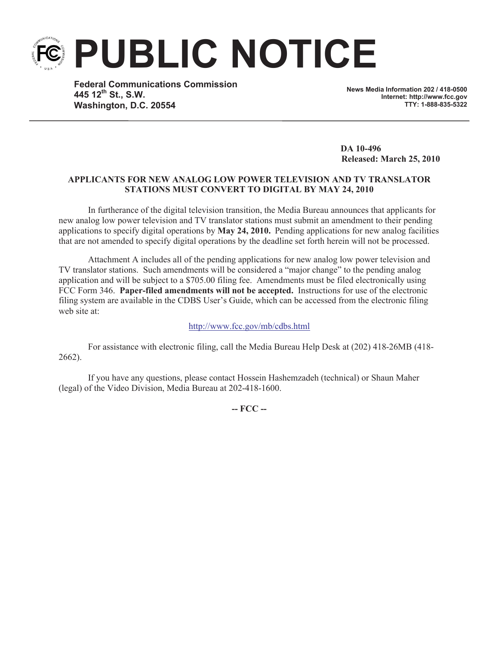**PUBLIC NOTICE**

**Federal Communications Commission 445 12th St., S.W. Washington, D.C. 20554**

**News Media Information 202 / 418-0500 Internet: http://www.fcc.gov TTY: 1-888-835-5322**

**DA 10-496 Released: March 25, 2010**

# **APPLICANTS FOR NEW ANALOG LOW POWER TELEVISION AND TV TRANSLATOR STATIONS MUST CONVERT TO DIGITAL BY MAY 24, 2010**

In furtherance of the digital television transition, the Media Bureau announces that applicants for new analog low power television and TV translator stations must submit an amendment to their pending applications to specify digital operations by **May 24, 2010.** Pending applications for new analog facilities that are not amended to specify digital operations by the deadline set forth herein will not be processed.

Attachment A includes all of the pending applications for new analog low power television and TV translator stations. Such amendments will be considered a "major change" to the pending analog application and will be subject to a \$705.00 filing fee. Amendments must be filed electronically using FCC Form 346. **Paper-filed amendments will not be accepted.** Instructions for use of the electronic filing system are available in the CDBS User's Guide, which can be accessed from the electronic filing web site at:

### http://www.fcc.gov/mb/cdbs.html

For assistance with electronic filing, call the Media Bureau Help Desk at (202) 418-26MB (418- 2662).

If you have any questions, please contact Hossein Hashemzadeh (technical) or Shaun Maher (legal) of the Video Division, Media Bureau at 202-418-1600.

**-- FCC --**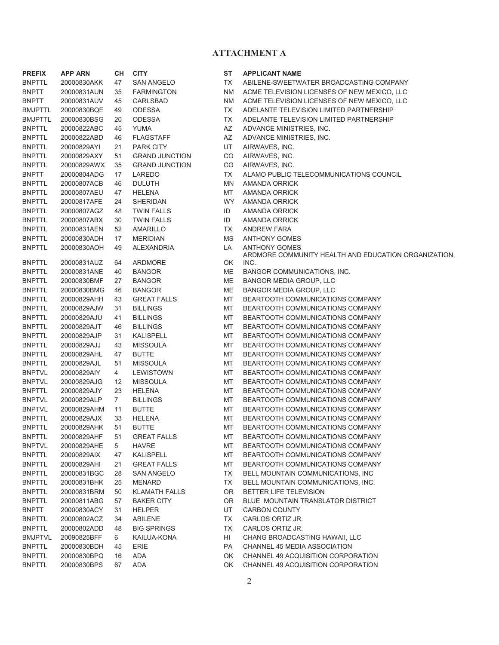## **ATTACHMENT A**

| <b>PREFIX</b>  | <b>APP ARN</b> | CН | <b>CITY</b>           | ST        | <b>APPLICANT NAME</b>                 |
|----------------|----------------|----|-----------------------|-----------|---------------------------------------|
| BNPTTL         | 20000830AKK    | 47 | <b>SAN ANGELO</b>     | <b>TX</b> | ABILENE-SWEETW                        |
| BNPTT          | 20000831AUN    | 35 | <b>FARMINGTON</b>     | <b>NM</b> | <b>ACME TELEVISION</b>                |
| BNPTT          | 20000831AUV    | 45 | <b>CARLSBAD</b>       | <b>NM</b> | <b>ACME TELEVISION</b>                |
| <b>BMJPTTL</b> | 20000830BQE    | 49 | <b>ODESSA</b>         | <b>TX</b> | <b>ADELANTE TELEVI</b>                |
| BMJPTTL        | 20000830BSG    | 20 | <b>ODESSA</b>         | <b>TX</b> | <b>ADELANTE TELEVI</b>                |
| <b>BNPTTL</b>  | 20000822ABC    | 45 | <b>YUMA</b>           | AZ        | <b>ADVANCE MINISTR</b>                |
| BNPTTL         | 20000822ABD    | 46 | <b>FLAGSTAFF</b>      | AZ        | <b>ADVANCE MINISTR</b>                |
| <b>BNPTTL</b>  | 20000829AYI    | 21 | <b>PARK CITY</b>      | UT        | AIRWAVES, INC.                        |
| BNPTTL         | 20000829AXY    | 51 | <b>GRAND JUNCTION</b> | CO        | AIRWAVES, INC.                        |
| BNPTTL         | 20000829AWX    | 35 | <b>GRAND JUNCTION</b> | CO        | AIRWAVES, INC.                        |
| BNPTT          | 20000804ADG    | 17 | LAREDO                | <b>TX</b> | <b>ALAMO PUBLIC TE</b>                |
| <b>BNPTTL</b>  | 20000807ACB    | 46 | <b>DULUTH</b>         | <b>MN</b> | AMANDA ORRICK                         |
| BNPTTL         | 20000807AEU    | 47 | <b>HELENA</b>         | MT        | AMANDA ORRICK                         |
| <b>BNPTTL</b>  | 20000817AFE    | 24 | <b>SHERIDAN</b>       | <b>WY</b> | AMANDA ORRICK                         |
| <b>BNPTTL</b>  | 20000807AGZ    | 48 | <b>TWIN FALLS</b>     | ID        | AMANDA ORRICK                         |
| <b>BNPTTL</b>  | 20000807ABX    | 30 | <b>TWIN FALLS</b>     | ID        | AMANDA ORRICK                         |
| <b>BNPTTL</b>  | 20000831AEN    | 52 | <b>AMARILLO</b>       | TX        | <b>ANDREW FARA</b>                    |
| <b>BNPTTL</b>  | 20000830ADH    | 17 | <b>MERIDIAN</b>       | <b>MS</b> | <b>ANTHONY GOMES</b>                  |
| BNPTTL         | 20000830AOH    | 49 | <b>ALEXANDRIA</b>     | LA        | <b>ANTHONY GOMES</b><br>ARDMORE COMMU |
| <b>BNPTTL</b>  | 20000831AUZ    | 64 | ARDMORE               | ОK        | INC.                                  |
| <b>BNPTTL</b>  | 20000831ANE    | 40 | <b>BANGOR</b>         | ME        | <b>BANGOR COMMUN</b>                  |
| BNPTTL         | 20000830BMF    | 27 | <b>BANGOR</b>         | ME        | <b>BANGOR MEDIA G</b>                 |
| <b>BNPTTL</b>  | 20000830BMG    | 46 | <b>BANGOR</b>         | ME        | <b>BANGOR MEDIA G</b>                 |
| <b>BNPTTL</b>  | 20000829AHH    | 43 | <b>GREAT FALLS</b>    | МT        | <b>BEARTOOTH COM</b>                  |
| <b>BNPTTL</b>  | 20000829AJW    | 31 | <b>BILLINGS</b>       | МT        | <b>BEARTOOTH COM</b>                  |
| <b>BNPTTL</b>  | 20000829AJU    | 41 | <b>BILLINGS</b>       | МT        | <b>BEARTOOTH COM</b>                  |
| BNPTTL         | 20000829AJT    | 46 | <b>BILLINGS</b>       | MT        | <b>BEARTOOTH COM</b>                  |
| BNPTTL         | 20000829AJP    | 31 | <b>KALISPELL</b>      | MT        | <b>BEARTOOTH COM</b>                  |
| BNPTTL         | 20000829AJJ    | 43 | <b>MISSOULA</b>       | MT        | <b>BEARTOOTH COM</b>                  |
| BNPTTL         | 20000829AHL    | 47 | <b>BUTTE</b>          | MT        | <b>BEARTOOTH COM</b>                  |
| <b>BNPTTL</b>  | 20000829AJL    | 51 | <b>MISSOULA</b>       | MT        | <b>BEARTOOTH COM</b>                  |
| <b>BNPTVL</b>  | 20000829AIY    | 4  | <b>LEWISTOWN</b>      | МT        | <b>BEARTOOTH COM</b>                  |
| BNPTVL         | 20000829AJG    | 12 | <b>MISSOULA</b>       | МT        | <b>BEARTOOTH COM</b>                  |
| BNPTTL         | 20000829AJY    | 23 | <b>HELENA</b>         | MT        | <b>BEARTOOTH COM</b>                  |
| BNPTVL         | 20000829ALP    | 7  | <b>BILLINGS</b>       | MT        | <b>BEARTOOTH COM</b>                  |
| BNPTVL         | 20000829AHM    | 11 | <b>BUTTE</b>          | MT        | <b>BEARTOOTH COM</b>                  |
| <b>BNPTTL</b>  | 20000829AJX    | 33 | <b>HELENA</b>         | MT        | <b>BEARTOOTH COM</b>                  |
| BNPTTL         | 20000829AHK    | 51 | <b>BUTTE</b>          | MT        | <b>BEARTOOTH COM</b>                  |
| <b>BNPTTL</b>  | 20000829AHF    | 51 | <b>GREAT FALLS</b>    | MT        | <b>BEARTOOTH COM</b>                  |
| <b>BNPTVL</b>  | 20000829AHE    | 5  | <b>HAVRE</b>          | MT        | <b>BEARTOOTH COM</b>                  |
| <b>BNPTTL</b>  | 20000829AIX    | 47 | <b>KALISPELL</b>      | MT        | <b>BEARTOOTH COM</b>                  |
| <b>BNPTTL</b>  | 20000829AHI    | 21 | <b>GREAT FALLS</b>    | MT        | <b>BEARTOOTH COM</b>                  |
| <b>BNPTTL</b>  | 20000831BGC    | 28 | <b>SAN ANGELO</b>     | TX        | <b>BELL MOUNTAIN C</b>                |
| <b>BNPTTL</b>  | 20000831BHK    | 25 | <b>MENARD</b>         | TX        | <b>BELL MOUNTAIN C</b>                |
| <b>BNPTTL</b>  | 20000831BRM    | 50 | <b>KLAMATH FALLS</b>  | OR        | <b>BETTER LIFE TELE</b>               |
| <b>BNPTTL</b>  | 20000811ABG    | 57 | <b>BAKER CITY</b>     | <b>OR</b> | BLUE MOUNTAIN                         |
| BNPTT          | 20000830ACY    | 31 | <b>HELPER</b>         | UT        | <b>CARBON COUNTY</b>                  |
| <b>BNPTTL</b>  | 20000802ACZ    | 34 | <b>ABILENE</b>        | TX        | CARLOS ORTIZ JR                       |
| <b>BNPTTL</b>  | 20000802ADD    | 48 | <b>BIG SPRINGS</b>    | TX        | CARLOS ORTIZ JR                       |
| <b>BMJPTVL</b> | 20090825BFF    | 6  | KAILUA-KONA           | HI        | CHANG BROADCA                         |
| <b>BNPTTL</b>  | 20000830BDH    | 45 | <b>ERIE</b>           | PA        | CHANNEL 45 MEDI                       |
| <b>BNPTTL</b>  | 20000830BPQ    | 16 | ADA                   | OK        | <b>CHANNEL 49 ACQU</b>                |
| RNPTTI         | 20000830BPS    | 67 | ADA                   | OK.       | CHANNEL 49 ACOL                       |

| SТ |  |  |  | <b>APPLICANT NAME</b> |  |
|----|--|--|--|-----------------------|--|
|    |  |  |  |                       |  |

- TX ABILENE-SWEETWATER BROADCASTING COMPANY
- NM ACME TELEVISION LICENSES OF NEW MEXICO, LLC
- NM ACME TELEVISION LICENSES OF NEW MEXICO, LLC
- TX ADELANTE TELEVISION LIMITED PARTNERSHIP
- TX ADELANTE TELEVISION LIMITED PARTNERSHIP
- AZ ADVANCE MINISTRIES, INC.
- AZ ADVANCE MINISTRIES, INC.
- UT AIRWAVES, INC.
- CO AIRWAVES, INC.
- CO AIRWAVES, INC.
- TX ALAMO PUBLIC TELECOMMUNICATIONS COUNCIL
- MN AMANDA ORRICK
- MT AMANDA ORRICK
- WY AMANDA ORRICK
- ID AMANDA ORRICK
- ID AMANDA ORRICK
- TX ANDREW FARA
- MS ANTHONY GOMES
- LA ANTHONY GOMES
- ARDMORE COMMUNITY HEALTH AND EDUCATION ORGANIZATION,
- INC.
- ME BANGOR COMMUNICATIONS, INC.
- ME BANGOR MEDIA GROUP, LLC
- ME BANGOR MEDIA GROUP, LLC
- MT BEARTOOTH COMMUNICATIONS COMPANY
- MT BEARTOOTH COMMUNICATIONS COMPANY
- MT BEARTOOTH COMMUNICATIONS COMPANY
- MT BEARTOOTH COMMUNICATIONS COMPANY
- MT BEARTOOTH COMMUNICATIONS COMPANY
- MT BEARTOOTH COMMUNICATIONS COMPANY
- MT BEARTOOTH COMMUNICATIONS COMPANY
- MT BEARTOOTH COMMUNICATIONS COMPANY
- MT BEARTOOTH COMMUNICATIONS COMPANY
- MT BEARTOOTH COMMUNICATIONS COMPANY
- MT BEARTOOTH COMMUNICATIONS COMPANY
- MT BEARTOOTH COMMUNICATIONS COMPANY MT BEARTOOTH COMMUNICATIONS COMPANY
- MT BEARTOOTH COMMUNICATIONS COMPANY
- MT BEARTOOTH COMMUNICATIONS COMPANY
- MT BEARTOOTH COMMUNICATIONS COMPANY
- MT BEARTOOTH COMMUNICATIONS COMPANY
- MT BEARTOOTH COMMUNICATIONS COMPANY
- MT BEARTOOTH COMMUNICATIONS COMPANY
- TX BELL MOUNTAIN COMMUNICATIONS, INC
- TX BELL MOUNTAIN COMMUNICATIONS, INC.
- OR BETTER LIFE TELEVISION
- OR BLUE MOUNTAIN TRANSLATOR DISTRICT
- UT CARBON COUNTY
- TX CARLOS ORTIZ JR.
- TX CARLOS ORTIZ JR.
- HI CHANG BROADCASTING HAWAII, LLC
- PA CHANNEL 45 MEDIA ASSOCIATION
- OK CHANNEL 49 ACQUISITION CORPORATION
- BNPTTL 20000830BPS 67 ADA OK CHANNEL 49 ACQUISITION CORPORATION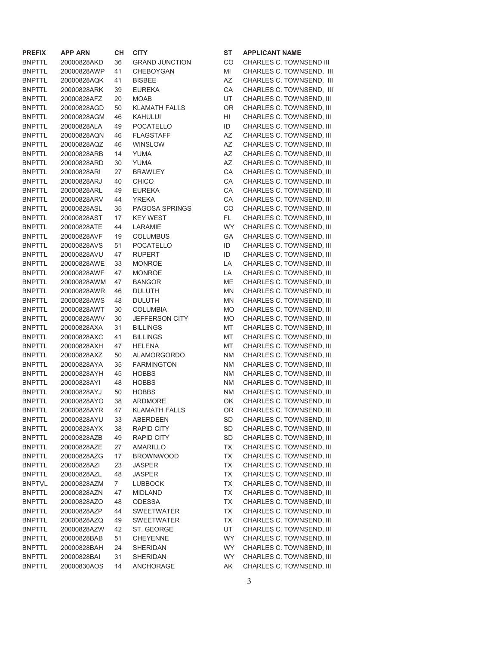| <b>PREFIX</b> | <b>APP ARN</b> | CН             | <b>CITY</b>           | <b>ST</b> | <b>APPLICANT NAME</b>    |
|---------------|----------------|----------------|-----------------------|-----------|--------------------------|
| <b>BNPTTL</b> | 20000828AKD    | 36             | <b>GRAND JUNCTION</b> | CO        | CHARLES C. TOWNSEND III  |
| <b>BNPTTL</b> | 20000828AWP    | 41             | <b>CHEBOYGAN</b>      | MI        | CHARLES C. TOWNSEND, III |
| <b>BNPTTL</b> | 20000828AQK    | 41             | <b>BISBEE</b>         | AZ        | CHARLES C. TOWNSEND, III |
| <b>BNPTTL</b> | 20000828ARK    | 39             | <b>EUREKA</b>         | CA        | CHARLES C. TOWNSEND, III |
| <b>BNPTTL</b> | 20000828AFZ    | 20             | <b>MOAB</b>           | UT        | CHARLES C. TOWNSEND, III |
| <b>BNPTTL</b> | 20000828AGD    | 50             | <b>KLAMATH FALLS</b>  | <b>OR</b> | CHARLES C. TOWNSEND, III |
| <b>BNPTTL</b> | 20000828AGM    | 46             | KAHULUI               | HI        | CHARLES C. TOWNSEND, III |
| <b>BNPTTL</b> | 20000828ALA    | 49             | <b>POCATELLO</b>      | ID        | CHARLES C. TOWNSEND, III |
| <b>BNPTTL</b> | 20000828AQN    | 46             | <b>FLAGSTAFF</b>      | AZ        | CHARLES C. TOWNSEND, III |
| <b>BNPTTL</b> | 20000828AQZ    | 46             | <b>WINSLOW</b>        | AZ        | CHARLES C. TOWNSEND, III |
| <b>BNPTTL</b> | 20000828ARB    | 14             | <b>YUMA</b>           | AZ        | CHARLES C. TOWNSEND, III |
| <b>BNPTTL</b> | 20000828ARD    | 30             | <b>YUMA</b>           | AZ        | CHARLES C. TOWNSEND, III |
| <b>BNPTTL</b> | 20000828ARI    | 27             | <b>BRAWLEY</b>        | CA        | CHARLES C. TOWNSEND, III |
| <b>BNPTTL</b> | 20000828ARJ    | 40             | <b>CHICO</b>          | CA        | CHARLES C. TOWNSEND, III |
| <b>BNPTTL</b> | 20000828ARL    | 49             | <b>EUREKA</b>         | CA        | CHARLES C. TOWNSEND, III |
| <b>BNPTTL</b> | 20000828ARV    | 44             | <b>YREKA</b>          | CA        | CHARLES C. TOWNSEND, III |
| <b>BNPTTL</b> | 20000828ASL    | 35             | <b>PAGOSA SPRINGS</b> | CO        | CHARLES C. TOWNSEND, III |
| <b>BNPTTL</b> | 20000828AST    | 17             | <b>KEY WEST</b>       | FL.       | CHARLES C. TOWNSEND, III |
| <b>BNPTTL</b> | 20000828ATE    | 44             | LARAMIE               | <b>WY</b> | CHARLES C. TOWNSEND, III |
| <b>BNPTTL</b> | 20000828AVF    | 19             | <b>COLUMBUS</b>       | GA        | CHARLES C. TOWNSEND, III |
| <b>BNPTTL</b> | 20000828AVS    | 51             | <b>POCATELLO</b>      | ID        | CHARLES C. TOWNSEND, III |
| <b>BNPTTL</b> | 20000828AVU    | 47             | <b>RUPERT</b>         | ID        | CHARLES C. TOWNSEND, III |
| <b>BNPTTL</b> | 20000828AWE    | 33             | <b>MONROE</b>         | LA        | CHARLES C. TOWNSEND, III |
| <b>BNPTTL</b> | 20000828AWF    | 47             | <b>MONROE</b>         | LA        | CHARLES C. TOWNSEND, III |
| <b>BNPTTL</b> | 20000828AWM    | 47             | <b>BANGOR</b>         | ME        | CHARLES C. TOWNSEND, III |
| <b>BNPTTL</b> | 20000828AWR    | 46             | <b>DULUTH</b>         | <b>MN</b> | CHARLES C. TOWNSEND, III |
| <b>BNPTTL</b> | 20000828AWS    | 48             | <b>DULUTH</b>         | <b>MN</b> | CHARLES C. TOWNSEND, III |
| <b>BNPTTL</b> | 20000828AWT    | 30             | <b>COLUMBIA</b>       | <b>MO</b> | CHARLES C. TOWNSEND, III |
| <b>BNPTTL</b> | 20000828AWV    | 30             | JEFFERSON CITY        | <b>MO</b> | CHARLES C. TOWNSEND, III |
| <b>BNPTTL</b> | 20000828AXA    | 31             | <b>BILLINGS</b>       | МT        | CHARLES C. TOWNSEND, III |
| <b>BNPTTL</b> | 20000828AXC    | 41             | <b>BILLINGS</b>       | MT        | CHARLES C. TOWNSEND, III |
| <b>BNPTTL</b> | 20000828AXH    | 47             | <b>HELENA</b>         | MT        | CHARLES C. TOWNSEND, III |
| <b>BNPTTL</b> | 20000828AXZ    | 50             | <b>ALAMORGORDO</b>    | <b>NM</b> | CHARLES C. TOWNSEND, III |
| <b>BNPTTL</b> | 20000828AYA    | 35             | <b>FARMINGTON</b>     | <b>NM</b> | CHARLES C. TOWNSEND, III |
| <b>BNPTTL</b> | 20000828AYH    | 45             | <b>HOBBS</b>          | <b>NM</b> | CHARLES C. TOWNSEND, III |
| <b>BNPTTL</b> | 20000828AYI    | 48             | <b>HOBBS</b>          | <b>NM</b> | CHARLES C. TOWNSEND, III |
| <b>BNPTTL</b> | 20000828AYJ    | 50             | <b>HOBBS</b>          | <b>NM</b> | CHARLES C. TOWNSEND, III |
| <b>BNPTTL</b> | 20000828AYO    | 38             | <b>ARDMORE</b>        | OK        | CHARLES C. TOWNSEND, III |
| <b>BNPTTL</b> | 20000828AYR    | 47             | <b>KLAMATH FALLS</b>  | <b>OR</b> | CHARLES C. TOWNSEND, III |
| <b>BNPTTL</b> | 20000828AYU    | 33             | ABERDEEN              | <b>SD</b> | CHARLES C. TOWNSEND, III |
| <b>BNPTTL</b> | 20000828AYX    | 38             | <b>RAPID CITY</b>     | SD        | CHARLES C. TOWNSEND, III |
| <b>BNPTTL</b> | 20000828AZB    | 49             | <b>RAPID CITY</b>     | <b>SD</b> | CHARLES C. TOWNSEND, III |
| <b>BNPTTL</b> | 20000828AZE    | 27             | AMARILLO              | TX        | CHARLES C. TOWNSEND, III |
| <b>BNPTTL</b> | 20000828AZG    | 17             | <b>BROWNWOOD</b>      | TX        | CHARLES C. TOWNSEND, III |
| <b>BNPTTL</b> | 20000828AZI    | 23             | <b>JASPER</b>         | TX        | CHARLES C. TOWNSEND, III |
| <b>BNPTTL</b> | 20000828AZL    | 48             | <b>JASPER</b>         | TX        | CHARLES C. TOWNSEND, III |
| <b>BNPTVL</b> | 20000828AZM    | $\overline{7}$ | LUBBOCK               | TX        | CHARLES C. TOWNSEND, III |
| <b>BNPTTL</b> | 20000828AZN    | 47             | <b>MIDLAND</b>        | TX        | CHARLES C. TOWNSEND, III |
| <b>BNPTTL</b> | 20000828AZO    | 48             | <b>ODESSA</b>         | TX        | CHARLES C. TOWNSEND, III |
| <b>BNPTTL</b> | 20000828AZP    | 44             | <b>SWEETWATER</b>     | TX        | CHARLES C. TOWNSEND, III |
| <b>BNPTTL</b> | 20000828AZQ    | 49             | <b>SWEETWATER</b>     | TX        | CHARLES C. TOWNSEND, III |
| <b>BNPTTL</b> | 20000828AZW    | 42             | ST. GEORGE            | UT        | CHARLES C. TOWNSEND, III |
| <b>BNPTTL</b> | 20000828BAB    | 51             | <b>CHEYENNE</b>       | <b>WY</b> | CHARLES C. TOWNSEND, III |
| <b>BNPTTL</b> | 20000828BAH    | 24             | SHERIDAN              | <b>WY</b> | CHARLES C. TOWNSEND, III |
| <b>BNPTTL</b> | 20000828BAI    | 31             | <b>SHERIDAN</b>       | WY        | CHARLES C. TOWNSEND, III |
| <b>BNPTTL</b> | 20000830AOS    | 14             | <b>ANCHORAGE</b>      | AK        | CHARLES C. TOWNSEND, III |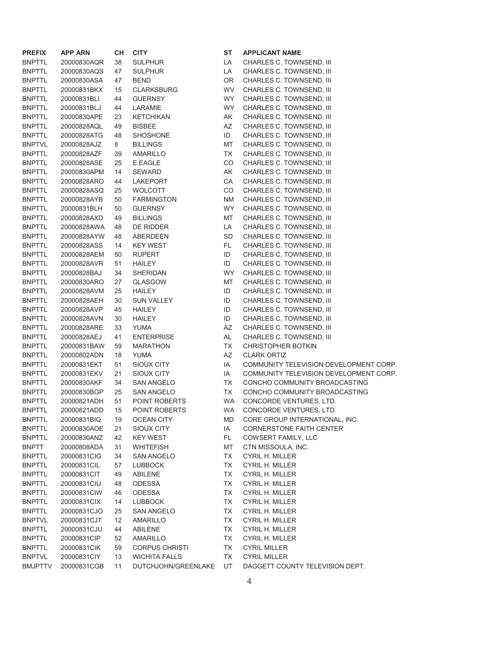| <b>PREFIX</b>  | <b>APP ARN</b> | CН | <b>CITY</b>           | ST        | <b>APPLICANT NAME</b>                  |
|----------------|----------------|----|-----------------------|-----------|----------------------------------------|
| <b>BNPTTL</b>  | 20000830AQR    | 38 | <b>SULPHUR</b>        | LA        | CHARLES C. TOWNSEND, III               |
| <b>BNPTTL</b>  | 20000830AQS    | 47 | <b>SULPHUR</b>        | LA        | CHARLES C. TOWNSEND, III               |
| <b>BNPTTL</b>  | 20000830ASA    | 47 | <b>BEND</b>           | OR        | CHARLES C. TOWNSEND, III               |
| <b>BNPTTL</b>  | 20000831BKX    | 15 | <b>CLARKSBURG</b>     | WV        | CHARLES C. TOWNSEND, III               |
| <b>BNPTTL</b>  | 20000831BLI    | 44 | <b>GUERNSY</b>        | <b>WY</b> | CHARLES C. TOWNSEND, III               |
| <b>BNPTTL</b>  | 20000831BLJ    | 44 | LARAMIE               | WY        | CHARLES C. TOWNSEND, III               |
| <b>BNPTTL</b>  | 20000830APE    | 23 | <b>KETCHIKAN</b>      | AK        | CHARLES C. TOWNSEND, III               |
| <b>BNPTTL</b>  | 20000828AQL    | 49 | <b>BISBEE</b>         | AZ        | CHARLES C. TOWNSEND, III               |
| <b>BNPTTL</b>  | 20000828ATG    | 48 | SHOSHONE              | ID        | CHARLES C. TOWNSEND, III               |
| <b>BNPTVL</b>  | 20000828AJZ    | 8  | <b>BILLINGS</b>       | MT        | CHARLES C. TOWNSEND, III               |
| <b>BNPTTL</b>  | 20000828AZF    | 39 | AMARILLO              | TX        | CHARLES C. TOWNSEND, III               |
| <b>BNPTTL</b>  | 20000828ASE    | 25 | E.EAGLE               | CO        | CHARLES C. TOWNSEND, III               |
| <b>BNPTTL</b>  | 20000830APM    | 14 | <b>SEWARD</b>         | AK        | CHARLES C. TOWNSEND, III               |
| <b>BNPTTL</b>  | 20000828ARO    | 44 | LAKEPORT              | CA        | CHARLES C. TOWNSEND, III               |
| <b>BNPTTL</b>  | 20000828ASQ    | 25 | <b>WOLCOTT</b>        | CO        | CHARLES C. TOWNSEND, III               |
| <b>BNPTTL</b>  | 20000828AYB    | 50 | <b>FARMINGTON</b>     | <b>NM</b> | CHARLES C. TOWNSEND, III               |
| <b>BNPTTL</b>  | 20000831BLH    | 50 | <b>GUERNSY</b>        | <b>WY</b> | CHARLES C. TOWNSEND, III               |
| <b>BNPTTL</b>  | 20000828AXD    | 49 | <b>BILLINGS</b>       | MT        | CHARLES C. TOWNSEND, III               |
| <b>BNPTTL</b>  | 20000828AWA    | 48 | DE RIDDER             | LA        | CHARLES C. TOWNSEND, III               |
| <b>BNPTTL</b>  | 20000828AYW    | 48 | ABERDEEN              | SD        | CHARLES C. TOWNSEND, III               |
| <b>BNPTTL</b>  | 20000828ASS    | 14 | <b>KEY WEST</b>       | FL.       | CHARLES C. TOWNSEND, III               |
| <b>BNPTTL</b>  | 20000828AEM    | 50 | <b>RUPERT</b>         | ID        | CHARLES C. TOWNSEND, III               |
| <b>BNPTTL</b>  | 20000828AVR    | 51 | <b>HAILEY</b>         | ID        | CHARLES C. TOWNSEND, III               |
| <b>BNPTTL</b>  | 20000828BAJ    | 34 | <b>SHERIDAN</b>       | <b>WY</b> | CHARLES C. TOWNSEND, III               |
| <b>BNPTTL</b>  | 20000830ARO    | 27 | <b>GLASGOW</b>        | МT        | CHARLES C. TOWNSEND, III               |
| <b>BNPTTL</b>  | 20000828AVM    | 25 | <b>HAILEY</b>         | ID        | CHARLES C. TOWNSEND, III               |
| <b>BNPTTL</b>  | 20000828AEH    | 30 | <b>SUN VALLEY</b>     | ID        | CHARLES C. TOWNSEND, III               |
| <b>BNPTTL</b>  | 20000828AVP    | 45 | HAILEY                | ID        | CHARLES C. TOWNSEND, III               |
| <b>BNPTTL</b>  | 20000828AVN    | 30 | <b>HAILEY</b>         | ID        | CHARLES C. TOWNSEND, III               |
| <b>BNPTTL</b>  | 20000828ARE    | 33 | <b>YUMA</b>           | AZ        | CHARLES C. TOWNSEND, III               |
| <b>BNPTTL</b>  | 20000828AEJ    | 41 | <b>ENTERPRISE</b>     | AL        | CHARLES C. TOWNSEND, III               |
| <b>BNPTTL</b>  | 20000831BAW    | 59 | <b>MARATHON</b>       | <b>TX</b> | <b>CHRISTOPHER BOTKIN</b>              |
| <b>BNPTTL</b>  | 20000802ADN    | 18 | <b>YUMA</b>           | AZ        | <b>CLARK ORTIZ</b>                     |
| <b>BNPTTL</b>  | 20000831EKT    | 51 | SIOUX CITY            | IA        | COMMUNITY TELEVISION DEVELOPMENT CORP. |
| <b>BNPTTL</b>  | 20000831EKV    | 21 | SIOUX CITY            | IA        | COMMUNITY TELEVISION DEVELOPMENT CORP. |
| <b>BNPTTL</b>  | 20000830AKF    | 34 | <b>SAN ANGELO</b>     | <b>TX</b> | CONCHO COMMUNITY BROADCASTING          |
| <b>BNPTTL</b>  | 20000830BGP    | 25 | <b>SAN ANGELO</b>     | TX        | CONCHO COMMUNITY BROADCASTING          |
| <b>BNPTTL</b>  | 20000821ADH    | 51 | POINT ROBERTS         | <b>WA</b> | CONCORDE VENTURES, LTD.                |
| <b>BNPTTL</b>  | 20000821ADD    | 15 | POINT ROBERTS         | WA        | CONCORDE VENTURES, LTD.                |
| <b>BNPTTL</b>  | 20000831BIQ    | 19 | <b>OCEAN CITY</b>     | <b>MD</b> | CORE GROUP INTERNATIONAL, INC.         |
| <b>BNPTTL</b>  | 20000830AOE    | 21 | <b>SIOUX CITY</b>     | IA        | <b>CORNERSTONE FAITH CENTER</b>        |
| <b>BNPTTL</b>  | 20000830ANZ    | 42 | <b>KEY WEST</b>       | FL.       | <b>COWSERT FAMILY, LLC</b>             |
| <b>BNPTT</b>   | 20000808ADA    | 31 | <b>WHITEFISH</b>      | MT        | CTN MISSOULA, INC.                     |
| <b>BNPTTL</b>  | 20000831CIG    | 34 | <b>SAN ANGELO</b>     | TX        | <b>CYRIL H. MILLER</b>                 |
| <b>BNPTTL</b>  | 20000831CIL    | 57 | <b>LUBBOCK</b>        | ТX        | CYRIL H. MILLER                        |
| <b>BNPTTL</b>  | 20000831CIT    | 49 | ABILENE               | TX        | CYRIL H. MILLER                        |
| <b>BNPTTL</b>  | 20000831CIU    | 48 | ODESSA                | TX        | CYRIL H. MILLER                        |
| <b>BNPTTL</b>  | 20000831CIW    | 46 | ODESSA                | TX        | CYRIL H. MILLER                        |
| <b>BNPTTL</b>  | 20000831CIX    | 14 | <b>LUBBOCK</b>        | TX        | <b>CYRIL H. MILLER</b>                 |
| <b>BNPTTL</b>  | 20000831CJO    | 25 | SAN ANGELO            | TX        | CYRIL H. MILLER                        |
| <b>BNPTVL</b>  | 20000831CJT    | 12 | AMARILLO              | TX        | CYRIL H. MILLER                        |
| <b>BNPTTL</b>  | 20000831CJU    | 44 | ABILENE               | TX        | <b>CYRIL H. MILLER</b>                 |
| <b>BNPTTL</b>  | 20000831CIP    | 52 | AMARILLO              | TX        | <b>CYRIL H. MILLER</b>                 |
| <b>BNPTTL</b>  | 20000831CIK    | 59 | <b>CORPUS CHRISTI</b> | TX        | <b>CYRIL MILLER</b>                    |
| <b>BNPTVL</b>  | 20000831CIY    | 13 | <b>WICHITA FALLS</b>  | TX        | <b>CYRIL MILLER</b>                    |
| <b>BMJPTTV</b> | 20000831CGB    | 11 | DUTCHJOHN/GREENLAKE   | UT        | DAGGETT COUNTY TELEVISION DEPT.        |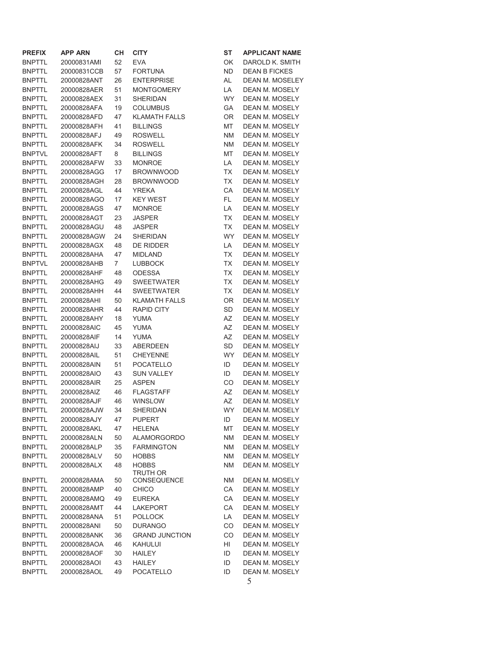| <b>PREFIX</b> | <b>APP ARN</b> | CН             | <b>CITY</b>           | ST        | <b>APPLICANT NAME</b>  |
|---------------|----------------|----------------|-----------------------|-----------|------------------------|
| <b>BNPTTL</b> | 20000831AMI    | 52             | <b>EVA</b>            | OK        | DAROLD K. SMITH        |
| <b>BNPTTL</b> | 20000831CCB    | 57             | <b>FORTUNA</b>        | <b>ND</b> | <b>DEAN B FICKES</b>   |
| <b>BNPTTL</b> | 20000828ANT    | 26             | <b>ENTERPRISE</b>     | AL        | <b>DEAN M. MOSELEY</b> |
| <b>BNPTTL</b> | 20000828AER    | 51             | <b>MONTGOMERY</b>     | LA        | DEAN M. MOSELY         |
| <b>BNPTTL</b> | 20000828AEX    | 31             | <b>SHERIDAN</b>       | <b>WY</b> | DEAN M. MOSELY         |
| <b>BNPTTL</b> | 20000828AFA    | 19             | <b>COLUMBUS</b>       | GА        | DEAN M. MOSELY         |
| <b>BNPTTL</b> | 20000828AFD    | 47             | <b>KLAMATH FALLS</b>  | OR        | DEAN M. MOSELY         |
| <b>BNPTTL</b> | 20000828AFH    | 41             | <b>BILLINGS</b>       | MT        | DEAN M. MOSELY         |
| <b>BNPTTL</b> |                |                |                       |           |                        |
|               | 20000828AFJ    | 49             | <b>ROSWELL</b>        | <b>NM</b> | DEAN M. MOSELY         |
| <b>BNPTTL</b> | 20000828AFK    | 34             | <b>ROSWELL</b>        | <b>NM</b> | DEAN M. MOSELY         |
| <b>BNPTVL</b> | 20000828AFT    | 8              | <b>BILLINGS</b>       | MT        | <b>DEAN M. MOSELY</b>  |
| <b>BNPTTL</b> | 20000828AFW    | 33             | <b>MONROE</b>         | LA        | <b>DEAN M. MOSELY</b>  |
| <b>BNPTTL</b> | 20000828AGG    | 17             | <b>BROWNWOOD</b>      | TX        | DEAN M. MOSELY         |
| <b>BNPTTL</b> | 20000828AGH    | 28             | <b>BROWNWOOD</b>      | <b>TX</b> | DEAN M. MOSELY         |
| <b>BNPTTL</b> | 20000828AGL    | 44             | YREKA                 | CA        | DEAN M. MOSELY         |
| <b>BNPTTL</b> | 20000828AGO    | 17             | <b>KEY WEST</b>       | FL.       | DEAN M. MOSELY         |
| <b>BNPTTL</b> | 20000828AGS    | 47             | <b>MONROE</b>         | LA        | DEAN M. MOSELY         |
| <b>BNPTTL</b> | 20000828AGT    | 23             | <b>JASPER</b>         | TX        | DEAN M. MOSELY         |
| <b>BNPTTL</b> | 20000828AGU    | 48             | <b>JASPER</b>         | <b>TX</b> | DEAN M. MOSELY         |
| <b>BNPTTL</b> | 20000828AGW    | 24             | <b>SHERIDAN</b>       | <b>WY</b> | DEAN M. MOSELY         |
| <b>BNPTTL</b> | 20000828AGX    | 48             | <b>DE RIDDER</b>      | LA        | DEAN M. MOSELY         |
| <b>BNPTTL</b> | 20000828AHA    | 47             | <b>MIDLAND</b>        | TX        | DEAN M. MOSELY         |
| <b>BNPTVL</b> | 20000828AHB    | $\overline{7}$ | <b>LUBBOCK</b>        | <b>TX</b> | <b>DEAN M. MOSELY</b>  |
| <b>BNPTTL</b> | 20000828AHF    | 48             | <b>ODESSA</b>         | <b>TX</b> | DEAN M. MOSELY         |
| <b>BNPTTL</b> | 20000828AHG    | 49             | <b>SWEETWATER</b>     | TX        | DEAN M. MOSELY         |
| <b>BNPTTL</b> | 20000828AHH    | 44             | <b>SWEETWATER</b>     | TX        | DEAN M. MOSELY         |
| <b>BNPTTL</b> | 20000828AHI    | 50             | <b>KLAMATH FALLS</b>  | OR        | DEAN M. MOSELY         |
|               |                |                |                       |           |                        |
| <b>BNPTTL</b> | 20000828AHR    | 44             | <b>RAPID CITY</b>     | <b>SD</b> | DEAN M. MOSELY         |
| <b>BNPTTL</b> | 20000828AHY    | 18             | <b>YUMA</b>           | AZ        | DEAN M. MOSELY         |
| <b>BNPTTL</b> | 20000828AIC    | 45             | <b>YUMA</b>           | AZ        | DEAN M. MOSELY         |
| <b>BNPTTL</b> | 20000828AIF    | 14             | <b>YUMA</b>           | AZ        | DEAN M. MOSELY         |
| <b>BNPTTL</b> | 20000828AIJ    | 33             | ABERDEEN              | <b>SD</b> | DEAN M. MOSELY         |
| <b>BNPTTL</b> | 20000828AIL    | 51             | <b>CHEYENNE</b>       | <b>WY</b> | DEAN M. MOSELY         |
| <b>BNPTTL</b> | 20000828AIN    | 51             | <b>POCATELLO</b>      | ID        | DEAN M. MOSELY         |
| <b>BNPTTL</b> | 20000828AIO    | 43             | <b>SUN VALLEY</b>     | ID        | <b>DEAN M. MOSELY</b>  |
| <b>BNPTTL</b> | 20000828AIR    | 25             | <b>ASPEN</b>          | CO        | DEAN M. MOSELY         |
| <b>BNPTTL</b> | 20000828AIZ    | 46             | <b>FLAGSTAFF</b>      | AZ        | DEAN M. MOSELY         |
| <b>BNPTTL</b> | 20000828AJF    | 46             | <b>WINSLOW</b>        | AZ        | <b>DEAN M. MOSELY</b>  |
| <b>BNPTTL</b> | 20000828AJW    | 34             | <b>SHERIDAN</b>       | <b>WY</b> | DEAN M. MOSELY         |
| <b>BNPTTL</b> | 20000828AJY    | 47             | <b>PUPERT</b>         | ID        | <b>DEAN M. MOSELY</b>  |
| <b>BNPTTL</b> | 20000828AKL    | 47             | <b>HELENA</b>         | MT        | DEAN M. MOSELY         |
| <b>BNPTTL</b> | 20000828ALN    | 50             | <b>ALAMORGORDO</b>    | <b>NM</b> | <b>DEAN M. MOSELY</b>  |
| <b>BNPTTL</b> | 20000828ALP    | 35             | <b>FARMINGTON</b>     | <b>NM</b> | DEAN M. MOSELY         |
| <b>BNPTTL</b> | 20000828ALV    | 50             | <b>HOBBS</b>          | <b>NM</b> | DEAN M. MOSELY         |
| <b>BNPTTL</b> | 20000828ALX    | 48             | <b>HOBBS</b>          | <b>NM</b> | DEAN M. MOSELY         |
|               |                |                | <b>TRUTH OR</b>       |           |                        |
| <b>BNPTTL</b> | 20000828AMA    | 50             | <b>CONSEQUENCE</b>    | <b>NM</b> | <b>DEAN M. MOSELY</b>  |
| <b>BNPTTL</b> | 20000828AMP    | 40             | <b>CHICO</b>          | CA        | DEAN M. MOSELY         |
| <b>BNPTTL</b> | 20000828AMQ    | 49             | <b>EUREKA</b>         | CA        | DEAN M. MOSELY         |
| <b>BNPTTL</b> | 20000828AMT    | 44             | <b>LAKEPORT</b>       | CA        | DEAN M. MOSELY         |
| <b>BNPTTL</b> | 20000828ANA    | 51             | <b>POLLOCK</b>        | LA        | DEAN M. MOSELY         |
| <b>BNPTTL</b> | 20000828ANI    | 50             | <b>DURANGO</b>        | CO        | DEAN M. MOSELY         |
| <b>BNPTTL</b> | 20000828ANK    | 36             | <b>GRAND JUNCTION</b> | CO        | DEAN M. MOSELY         |
| <b>BNPTTL</b> | 20000828AOA    | 46             | KAHULUI               | HI        | DEAN M. MOSELY         |
| <b>BNPTTL</b> | 20000828AOF    | 30             | <b>HAILEY</b>         | ID        | DEAN M. MOSELY         |
|               |                |                |                       |           |                        |
| <b>BNPTTL</b> | 20000828AOI    | 43             | <b>HAILEY</b>         | ID        | DEAN M. MOSELY         |
| <b>BNPTTL</b> | 20000828AOL    | 49             | POCATELLO             | ID        | DEAN M. MOSELY         |
|               |                |                |                       |           | 5                      |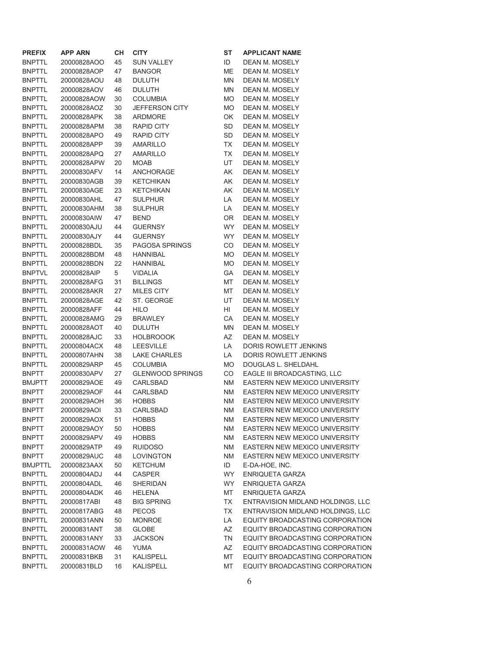| <b>PREFIX</b> | <b>APP ARN</b> | CН | <b>CITY</b>             | ST        | <b>APPLICANT NAME</b>                |
|---------------|----------------|----|-------------------------|-----------|--------------------------------------|
| <b>BNPTTL</b> | 20000828AOO    | 45 | <b>SUN VALLEY</b>       | ID        | DEAN M. MOSELY                       |
| <b>BNPTTL</b> | 20000828AOP    | 47 | <b>BANGOR</b>           | ME        | DEAN M. MOSELY                       |
| <b>BNPTTL</b> | 20000828AOU    | 48 | <b>DULUTH</b>           | MN        | DEAN M. MOSELY                       |
| BNPTTL        | 20000828AOV    | 46 | <b>DULUTH</b>           | MN        | DEAN M. MOSELY                       |
| <b>BNPTTL</b> | 20000828AOW    | 30 | <b>COLUMBIA</b>         | <b>MO</b> | DEAN M. MOSELY                       |
| <b>BNPTTL</b> | 20000828AOZ    | 30 | JEFFERSON CITY          | <b>MO</b> | DEAN M. MOSELY                       |
| <b>BNPTTL</b> | 20000828APK    | 38 | ARDMORE                 | OK        | DEAN M. MOSELY                       |
| <b>BNPTTL</b> | 20000828APM    | 38 | RAPID CITY              | SD        | DEAN M. MOSELY                       |
| <b>BNPTTL</b> | 20000828APO    | 49 | <b>RAPID CITY</b>       | SD        | DEAN M. MOSELY                       |
| <b>BNPTTL</b> | 20000828APP    | 39 | AMARILLO                | TX        | DEAN M. MOSELY                       |
| <b>BNPTTL</b> | 20000828APQ    | 27 | <b>AMARILLO</b>         | TX        | DEAN M. MOSELY                       |
| <b>BNPTTL</b> | 20000828APW    | 20 | <b>MOAB</b>             | UT        | DEAN M. MOSELY                       |
| <b>BNPTTL</b> | 20000830AFV    | 14 | ANCHORAGE               | AK        | DEAN M. MOSELY                       |
| <b>BNPTTL</b> | 20000830AGB    | 39 | <b>KETCHIKAN</b>        | AK        | DEAN M. MOSELY                       |
| <b>BNPTTL</b> | 20000830AGE    | 23 | <b>KETCHIKAN</b>        | AK        | DEAN M. MOSELY                       |
| <b>BNPTTL</b> | 20000830AHL    | 47 | <b>SULPHUR</b>          | LA        | DEAN M. MOSELY                       |
| <b>BNPTTL</b> | 20000830AHM    | 38 | <b>SULPHUR</b>          | LA        | DEAN M. MOSELY                       |
| <b>BNPTTL</b> | 20000830AIW    | 47 | <b>BEND</b>             | <b>OR</b> | DEAN M. MOSELY                       |
| <b>BNPTTL</b> | 20000830AJU    | 44 | <b>GUERNSY</b>          | <b>WY</b> | DEAN M. MOSELY                       |
| BNPTTL        | 20000830AJY    | 44 | <b>GUERNSY</b>          | WY.       | DEAN M. MOSELY                       |
| <b>BNPTTL</b> | 20000828BDL    | 35 | PAGOSA SPRINGS          | CO        | DEAN M. MOSELY                       |
| <b>BNPTTL</b> | 20000828BDM    | 48 | HANNIBAL                | MO.       | DEAN M. MOSELY                       |
| <b>BNPTTL</b> | 20000828BDN    | 22 | <b>HANNIBAL</b>         | <b>MO</b> | DEAN M. MOSELY                       |
| <b>BNPTVL</b> | 20000828AIP    | 5  | VIDALIA                 | GA.       | DEAN M. MOSELY                       |
| <b>BNPTTL</b> | 20000828AFG    | 31 | <b>BILLINGS</b>         | МT        | DEAN M. MOSELY                       |
| <b>BNPTTL</b> | 20000828AKR    | 27 | MILES CITY              | МT        | DEAN M. MOSELY                       |
| <b>BNPTTL</b> | 20000828AGE    | 42 | ST. GEORGE              | UT        | DEAN M. MOSELY                       |
| <b>BNPTTL</b> | 20000828AFF    | 44 | <b>HILO</b>             | HI        | DEAN M. MOSELY                       |
| <b>BNPTTL</b> | 20000828AMG    | 29 | <b>BRAWLEY</b>          | CA        | DEAN M. MOSELY                       |
| <b>BNPTTL</b> | 20000828AOT    | 40 | <b>DULUTH</b>           | MN        | DEAN M. MOSELY                       |
| <b>BNPTTL</b> | 20000828AJC    | 33 | <b>HOLBROOOK</b>        | AZ        | DEAN M. MOSELY                       |
| <b>BNPTTL</b> | 20000804ACX    | 48 | <b>LEESVILLE</b>        | LA        | DORIS ROWLETT JENKINS                |
| <b>BNPTTL</b> | 20000807AHN    | 38 | <b>LAKE CHARLES</b>     | LA        | DORIS ROWLETT JENKINS                |
| <b>BNPTTL</b> | 20000829ARP    | 45 | <b>COLUMBIA</b>         | <b>MO</b> | DOUGLAS L. SHELDAHL                  |
| BNPTT         | 20000830APV    | 27 | <b>GLENWOOD SPRINGS</b> | CO        | EAGLE III BROADCASTING, LLC          |
| <b>BMJPTT</b> | 20000829AOE    | 49 | CARLSBAD                | <b>NM</b> | EASTERN NEW MEXICO UNIVERSITY        |
| BNPTT         | 20000829AOF    | 44 | CARLSBAD                | <b>NM</b> | EASTERN NEW MEXICO UNIVERSITY        |
| BNPTT         | 20000829AOH    | 36 | <b>HOBBS</b>            | <b>NM</b> | EASTERN NEW MEXICO UNIVERSITY        |
| BNPTT         | 20000829AOI    | 33 | CARLSBAD                | <b>NM</b> | EASTERN NEW MEXICO UNIVERSITY        |
| BNPTT         | 20000829AOX    | 51 | <b>HOBBS</b>            | <b>NM</b> | EASTERN NEW MEXICO UNIVERSITY        |
| <b>BNPTT</b>  | 20000829AOY    | 50 | <b>HOBBS</b>            | <b>NM</b> | EASTERN NEW MEXICO UNIVERSITY        |
| <b>BNPTT</b>  | 20000829APV    | 49 | <b>HOBBS</b>            | <b>NM</b> | EASTERN NEW MEXICO UNIVERSITY        |
| <b>BNPTT</b>  | 20000829ATP    | 49 | <b>RUIDOSO</b>          | <b>NM</b> | EASTERN NEW MEXICO UNIVERSITY        |
| BNPTT         | 20000829AUC    | 48 | <b>LOVINGTON</b>        | <b>NM</b> | <b>EASTERN NEW MEXICO UNIVERSITY</b> |
| BMJPTTL       | 20000823AAX    | 50 | <b>KETCHUM</b>          | ID        | E-DA-HOE, INC.                       |
| <b>BNPTTL</b> | 20000804ADJ    | 44 | <b>CASPER</b>           | <b>WY</b> | ENRIQUETA GARZA                      |
| <b>BNPTTL</b> | 20000804ADL    | 46 | <b>SHERIDAN</b>         | WY.       | ENRIQUETA GARZA                      |
| <b>BNPTTL</b> | 20000804ADK    | 46 | <b>HELENA</b>           | MT        | ENRIQUETA GARZA                      |
| <b>BNPTTL</b> | 20000817ABI    | 48 | <b>BIG SPRING</b>       | TX        | ENTRAVISION MIDLAND HOLDINGS, LLC    |
| <b>BNPTTL</b> | 20000817ABG    | 48 | <b>PECOS</b>            | ТX        | ENTRAVISION MIDLAND HOLDINGS, LLC    |
| <b>BNPTTL</b> | 20000831ANN    | 50 | <b>MONROE</b>           | LA        | EQUITY BROADCASTING CORPORATION      |
| <b>BNPTTL</b> | 20000831ANT    | 38 | <b>GLOBE</b>            | AZ        | EQUITY BROADCASTING CORPORATION      |
| <b>BNPTTL</b> | 20000831ANY    | 33 | <b>JACKSON</b>          | TN        | EQUITY BROADCASTING CORPORATION      |
| <b>BNPTTL</b> | 20000831AOW    | 46 | <b>YUMA</b>             | AZ        | EQUITY BROADCASTING CORPORATION      |
| <b>BNPTTL</b> | 20000831BKB    | 31 | <b>KALISPELL</b>        | MT        | EQUITY BROADCASTING CORPORATION      |
| <b>BNPTTL</b> | 20000831BLD    | 16 | <b>KALISPELL</b>        | MT        | EQUITY BROADCASTING CORPORATION      |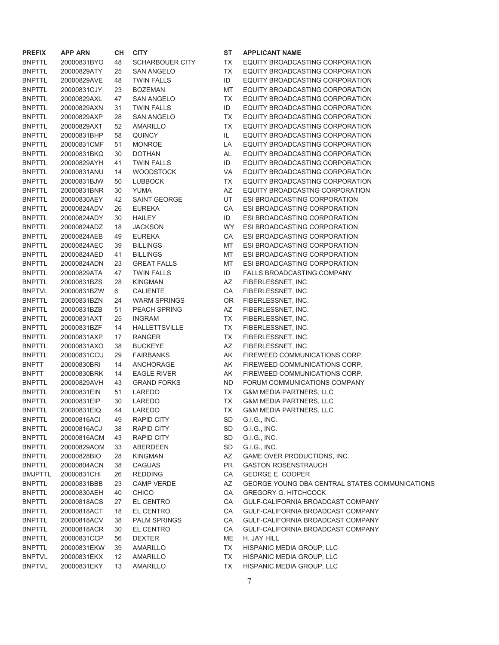| <b>PREFIX</b>  | APP ARN     | CН | <b>CITY</b>         |
|----------------|-------------|----|---------------------|
| <b>BNPTTL</b>  | 20000831BYO | 48 | SCHARBOUER CITY     |
| <b>BNPTTL</b>  | 20000829ATY | 25 | SAN ANGELO          |
| <b>BNPTTL</b>  | 20000829AVE | 48 | <b>TWIN FALLS</b>   |
| <b>BNPTTL</b>  | 20000831CJY | 23 | <b>BOZEMAN</b>      |
| <b>BNPTTL</b>  | 20000829AXL | 47 | SAN ANGELO          |
| <b>BNPTTL</b>  | 20000829AXN | 31 | TWIN FALLS          |
| <b>BNPTTL</b>  | 20000829AXP | 28 | SAN ANGELO          |
| <b>BNPTTL</b>  | 20000829AXT | 52 | AMARILLO            |
| <b>BNPTTL</b>  | 20000831BHP | 58 | QUINCY              |
| <b>BNPTTL</b>  | 20000831CMF | 51 | <b>MONROE</b>       |
| <b>BNPTTL</b>  | 20000831BKQ | 30 | <b>DOTHAN</b>       |
| <b>BNPTTL</b>  | 20000829AYH | 41 | <b>TWIN FALLS</b>   |
| <b>BNPTTL</b>  | 20000831ANU | 14 | WOODSTOCK           |
| <b>BNPTTL</b>  | 20000831BJW | 50 | LUBBOCK             |
| <b>BNPTTL</b>  | 20000831BNR | 30 | YUMA                |
| <b>BNPTTL</b>  | 20000830AEY | 42 | <b>SAINT GEORGE</b> |
| <b>BNPTTL</b>  | 20000824ADV | 26 | <b>EUREKA</b>       |
| <b>BNPTTL</b>  | 20000824ADY | 30 | <b>HAILEY</b>       |
| <b>BNPTTL</b>  | 20000824ADZ | 18 | JACKSON             |
| <b>BNPTTL</b>  | 20000824AEB | 49 | <b>EUREKA</b>       |
| <b>BNPTTL</b>  | 20000824AEC | 39 | <b>BILLINGS</b>     |
| <b>BNPTTL</b>  | 20000824AED | 41 | <b>BILLINGS</b>     |
| <b>BNPTTL</b>  | 20000824ADN | 23 | <b>GREAT FALLS</b>  |
| <b>BNPTTL</b>  | 20000829ATA | 47 | <b>TWIN FALLS</b>   |
| <b>BNPTTL</b>  | 20000831BZS | 28 | KINGMAN             |
| <b>BNPTVL</b>  | 20000831BZW | 6  | <b>CALIENTE</b>     |
| <b>BNPTTL</b>  | 20000831BZN | 24 | WARM SPRINGS        |
| <b>BNPTTL</b>  | 20000831BZB | 51 | <b>PEACH SPRING</b> |
| <b>BNPTTL</b>  | 20000831AXT | 25 | INGRAM              |
| <b>BNPTTL</b>  | 20000831BZF | 14 | HALLETTSVILLE       |
| <b>BNPTTL</b>  | 20000831AXP | 17 | RANGER              |
| <b>BNPTTL</b>  | 20000831AXO | 38 | <b>BUCKEYE</b>      |
| <b>BNPTTL</b>  | 20000831CCU | 29 | <b>FAIRBANKS</b>    |
| <b>BNPTT</b>   | 20000830BRI | 14 | ANCHORAGE           |
| <b>BNPTT</b>   | 20000830BRK | 14 | <b>EAGLE RIVER</b>  |
| <b>BNPTTL</b>  | 20000829AVH | 43 | <b>GRAND FORKS</b>  |
| <b>BNPTTL</b>  | 20000831EIN | 51 | LAREDO              |
| <b>BNPTTL</b>  | 20000831EIP | 30 | LAREDO              |
| <b>BNPTTL</b>  | 20000831EIQ | 44 | LAREDO              |
| BNPTTL         | 20000816ACI | 49 | <b>RAPID CITY</b>   |
| <b>BNPTTL</b>  | 20000816ACJ | 38 | <b>RAPID CITY</b>   |
| <b>BNPTTL</b>  | 20000816ACM | 43 | <b>RAPID CITY</b>   |
| <b>BNPTTL</b>  | 20000829AOM | 33 | <b>ABERDEEN</b>     |
| <b>BNPTTL</b>  | 20000828BIO | 28 | <b>KINGMAN</b>      |
| <b>BNPTTL</b>  | 20000804ACN | 38 | <b>CAGUAS</b>       |
| <b>BMJPTTL</b> | 20000831CHI | 26 | <b>REDDING</b>      |
| <b>BNPTTL</b>  | 20000831BBB | 23 | <b>CAMP VERDE</b>   |
| <b>BNPTTL</b>  | 20000830AEH | 40 | <b>CHICO</b>        |
| <b>BNPTTL</b>  | 20000818ACS | 27 | EL CENTRO           |
| <b>BNPTTL</b>  | 20000818ACT | 18 | <b>EL CENTRO</b>    |
| <b>BNPTTL</b>  | 20000818ACV | 38 | <b>PALM SPRINGS</b> |
| <b>BNPTTL</b>  | 20000818ACR | 30 | <b>EL CENTRO</b>    |
| <b>BNPTTL</b>  | 20000831CCP | 56 | <b>DEXTER</b>       |
| <b>BNPTTL</b>  | 20000831EKW | 39 | <b>AMARILLO</b>     |
| <b>BNPTVL</b>  | 20000831EKX | 12 | <b>AMARILLO</b>     |
| <b>BNPTVL</b>  | 20000831EKY | 13 | <b>AMARILLO</b>     |

### **ST APPLICANT NAME**

Y TX EQUITY BROADCASTING CORPORATION TX EQUITY BROADCASTING CORPORATION ID EQUITY BROADCASTING CORPORATION MT EQUITY BROADCASTING CORPORATION TX EQUITY BROADCASTING CORPORATION ID EQUITY BROADCASTING CORPORATION TX EQUITY BROADCASTING CORPORATION TX EQUITY BROADCASTING CORPORATION IL EQUITY BROADCASTING CORPORATION LA EQUITY BROADCASTING CORPORATION AL EQUITY BROADCASTING CORPORATION ID EQUITY BROADCASTING CORPORATION VA EQUITY BROADCASTING CORPORATION TX EQUITY BROADCASTING CORPORATION AZ EQUITY BROADCASTNG CORPORATION UT ESI BROADCASTING CORPORATION CA ESI BROADCASTING CORPORATION ID ESI BROADCASTING CORPORATION WY ESI BROADCASTING CORPORATION CA ESI BROADCASTING CORPORATION MT ESI BROADCASTING CORPORATION MT ESI BROADCASTING CORPORATION MT ESI BROADCASTING CORPORATION ID FALLS BROADCASTING COMPANY AZ FIBERLESSNET, INC. CA FIBERLESSNET, INC. OR FIBERLESSNET, INC. AZ FIBERLESSNET, INC. TX FIBERLESSNET, INC. TX FIBERLESSNET, INC. TX FIBERLESSNET, INC. AZ FIBERLESSNET, INC. AK FIREWEED COMMUNICATIONS CORP. AK FIREWEED COMMUNICATIONS CORP. AK FIREWEED COMMUNICATIONS CORP. ND FORUM COMMUNICATIONS COMPANY TX G&M MEDIA PARTNERS, LLC TX G&M MEDIA PARTNERS, LLC TX G&M MEDIA PARTNERS, LLC SD G.I.G., INC. SD G.I.G., INC. SD G.I.G., INC. SD G.I.G., INC. AZ GAME OVER PRODUCTIONS, INC. PR GASTON ROSENSTRAUCH CA GEORGE E. COOPER AZ GEORGE YOUNG DBA CENTRAL STATES COMMUNICATIONS CA GREGORY G. HITCHCOCK CA GULF-CALIFORNIA BROADCAST COMPANY CA GULF-CALIFORNIA BROADCAST COMPANY CA GULF-CALIFORNIA BROADCAST COMPANY CA GULF-CALIFORNIA BROADCAST COMPANY ME H. JAY HILL TX HISPANIC MEDIA GROUP, LLC

- 
- TX HISPANIC MEDIA GROUP, LLC
- TX HISPANIC MEDIA GROUP, LLC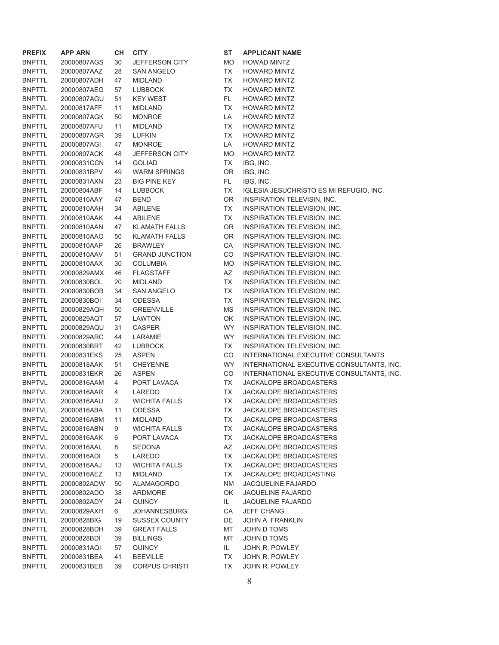| <b>PREFIX</b> | APP ARN     | CН | <b>CITY</b>           |
|---------------|-------------|----|-----------------------|
| <b>BNPTTL</b> | 20000807AGS | 30 | JEFFERSON CITY        |
| <b>BNPTTL</b> | 20000807AAZ | 28 | SAN ANGELO            |
| <b>BNPTTL</b> | 20000807ADH | 47 | <b>MIDLAND</b>        |
| <b>BNPTTL</b> | 20000807AEG | 57 | <b>LUBBOCK</b>        |
| <b>BNPTTL</b> | 20000807AGU | 51 | <b>KEY WEST</b>       |
| <b>BNPTVL</b> | 20000817AFF | 11 | MIDLAND               |
| <b>BNPTTL</b> | 20000807AGK | 50 | <b>MONROE</b>         |
| <b>BNPTTL</b> | 20000807AFU | 11 | <b>MIDLAND</b>        |
| <b>BNPTTL</b> | 20000807AGR | 39 | <b>LUFKIN</b>         |
| <b>BNPTTL</b> | 20000807AGI | 47 | <b>MONROE</b>         |
| <b>BNPTTL</b> | 20000807ACK | 48 | JEFFERSON CITY        |
| <b>BNPTTL</b> | 20000831CCN | 14 | <b>GOLIAD</b>         |
| BNPTTL        | 20000831BPV | 49 | <b>WARM SPRINGS</b>   |
| BNPTTL        | 20000831AXN | 23 | <b>BIG PINE KEY</b>   |
| <b>BNPTTL</b> | 20000804ABF | 14 | <b>LUBBOCK</b>        |
| <b>BNPTTL</b> | 20000810AAY | 47 | <b>BEND</b>           |
| <b>BNPTTL</b> | 20000810AAH | 34 | <b>ABILENE</b>        |
| <b>BNPTTL</b> | 20000810AAK | 44 | ABILENE               |
| <b>BNPTTL</b> | 20000810AAN | 47 | <b>KLAMATH FALLS</b>  |
| <b>BNPTTL</b> | 20000810AAO | 50 | <b>KLAMATH FALLS</b>  |
| <b>BNPTTL</b> | 20000810AAP | 26 | <b>BRAWLEY</b>        |
| BNPTTL        | 20000810AAV | 51 | <b>GRAND JUNCTION</b> |
| <b>BNPTTL</b> | 20000810AAX | 30 | <b>COLUMBIA</b>       |
| <b>BNPTTL</b> | 20000829AMX | 46 | <b>FLAGSTAFF</b>      |
| <b>BNPTTL</b> | 20000830BOL | 20 | <b>MIDLAND</b>        |
| <b>BNPTTL</b> | 20000830BOB | 34 | <b>SAN ANGELO</b>     |
| <b>BNPTTL</b> | 20000830BOI | 34 | <b>ODESSA</b>         |
| BNPTTL        | 20000829AQH | 50 | <b>GREENVILLE</b>     |
| BNPTTL        | 20000829AQT | 57 | <b>LAWTON</b>         |
| BNPTTL        | 20000829AQU | 31 | CASPER                |
| <b>BNPTTL</b> | 20000829ARC | 44 | LARAMIE               |
| <b>BNPTTL</b> | 20000830BRT | 42 | <b>LUBBOCK</b>        |
| <b>BNPTTL</b> | 20000831EKS | 25 | <b>ASPEN</b>          |
| <b>BNPTTL</b> | 20000818AAK | 51 | <b>CHEYENNE</b>       |
| <b>BNPTTL</b> | 20000831EKR | 26 | <b>ASPEN</b>          |
| <b>BNPTVL</b> | 20000816AAM | 4  | PORT LAVACA           |
| <b>BNPTVL</b> | 20000816AAR | 4  | LAREDO                |
| <b>BNPTVL</b> | 20000816AAU | 2  | <b>WICHITA FALLS</b>  |
| <b>BNPTVL</b> | 20000816ABA | 11 | ODESSA                |
| <b>BNPTVL</b> | 20000816ABM | 11 | MIDLAND               |
| <b>BNPTVL</b> | 20000816ABN | 9  | <b>WICHITA FALLS</b>  |
| <b>BNPTVL</b> | 20000816AAK | 6  | PORT LAVACA           |
| <b>BNPTVL</b> | 20000816AAL | 8  | <b>SEDONA</b>         |
| <b>BNPTVL</b> | 20000816ADI | 5  | LAREDO                |
| <b>BNPTVL</b> | 20000816AAJ | 13 | <b>WICHITA FALLS</b>  |
| <b>BNPTVL</b> | 20000816AEZ | 13 | <b>MIDLAND</b>        |
| <b>BNPTTL</b> | 20000802ADW | 50 | <b>ALAMAGORDO</b>     |
| <b>BNPTTL</b> | 20000802ADO | 38 | <b>ARDMORE</b>        |
| <b>BNPTTL</b> | 20000802ADY | 24 | <b>QUINCY</b>         |
| <b>BNPTVL</b> | 20000829AXH | 6  | <b>JOHANNESBURG</b>   |
| <b>BNPTTL</b> | 20000828BIG | 19 | <b>SUSSEX COUNTY</b>  |
| <b>BNPTTL</b> | 20000828BDH | 39 | <b>GREAT FALLS</b>    |
| <b>BNPTTL</b> | 20000828BDI | 39 | <b>BILLINGS</b>       |
| <b>BNPTTL</b> | 20000831AQI | 57 | <b>QUINCY</b>         |
| <b>BNPTTL</b> | 20000831BEA | 41 | <b>BEEVILLE</b>       |
| <b>BNPTTL</b> | 20000831BEB | 39 | <b>CORPUS CHRISTI</b> |

**ST APPLICANT NAME** MO HOWAD MINTZ TX HOWARD MINTZ TX HOWARD MINTZ TX HOWARD MINTZ FL HOWARD MINTZ TX HOWARD MINTZ LA HOWARD MINTZ TX HOWARD MINTZ TX HOWARD MINTZ LA HOWARD MINTZ MO HOWARD MINTZ TX IBG, INC. OR IBG, INC. FL IBG, INC. TX IGLESIA JESUCHRISTO ES MI REFUGIO, INC. OR INSPIRATION TELEVISIN, INC. TX INSPIRATION TELEVISION, INC. TX INSPIRATION TELEVISION, INC. OR INSPIRATION TELEVISION, INC. OR INSPIRATION TELEVISION, INC. CA INSPIRATION TELEVISION, INC. CO INSPIRATION TELEVISION, INC. MO INSPIRATION TELEVISION, INC. AZ INSPIRATION TELEVISION, INC. TX INSPIRATION TELEVISION, INC. TX INSPIRATION TELEVISION, INC. TX INSPIRATION TELEVISION, INC. MS INSPIRATION TELEVISION, INC. OK INSPIRATION TELEVISION, INC. WY INSPIRATION TELEVISION, INC. WY INSPIRATION TELEVISION, INC. TX INSPIRATION TELEVISION, INC. CO INTERNATIONAL EXECUTIVE CONSULTANTS WY INTERNATIONAL EXECUTIVE CONSULTANTS, INC. CO INTERNATIONAL EXECUTIVE CONSULTANTS, INC. TX JACKALOPE BROADCASTERS TX JACKALOPE BROADCASTERS TX JACKALOPE BROADCASTERS TX JACKALOPE BROADCASTERS TX JACKALOPE BROADCASTERS TX JACKALOPE BROADCASTERS TX JACKALOPE BROADCASTERS AZ JACKALOPE BROADCASTERS TX JACKALOPE BROADCASTERS TX JACKALOPE BROADCASTERS TX JACKALOPE BROADCASTING NM JACQUELINE FAJARDO OK JAQUELINE FAJARDO IL JAQUELINE FAJARDO CA JEFF CHANG DE JOHN A. FRANKLIN MT JOHN D TOMS MT JOHN D TOMS IL JOHN R. POWLEY TX JOHN R. POWLEY TX JOHN R. POWLEY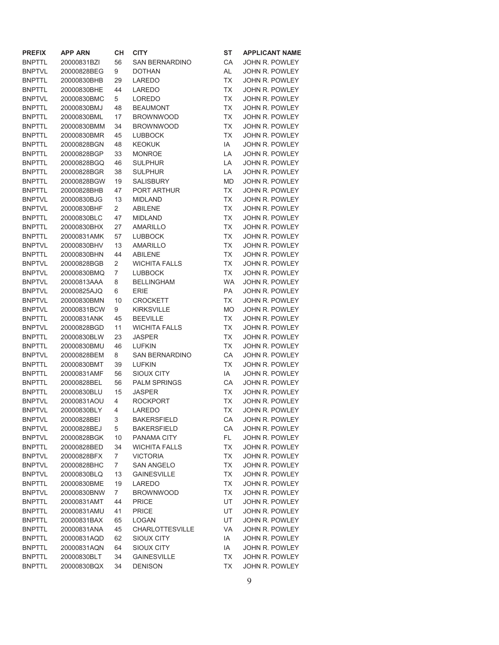| <b>PREFIX</b> | <b>APP ARN</b> | CН             | <b>CITY</b>            | <b>ST</b> | <b>APPLICANT NAME</b> |
|---------------|----------------|----------------|------------------------|-----------|-----------------------|
| <b>BNPTTL</b> | 20000831BZI    | 56             | <b>SAN BERNARDINO</b>  | СA        | JOHN R. POWLEY        |
| <b>BNPTVL</b> | 20000828BEG    | 9              | <b>DOTHAN</b>          | AL        | JOHN R. POWLEY        |
| <b>BNPTTL</b> | 20000830BHB    | 29             | LAREDO                 | ТX        | JOHN R. POWLEY        |
| <b>BNPTTL</b> | 20000830BHE    | 44             | LAREDO                 | <b>TX</b> | JOHN R. POWLEY        |
| <b>BNPTVL</b> | 20000830BMC    | 5              | <b>LOREDO</b>          | <b>TX</b> | JOHN R. POWLEY        |
| <b>BNPTTL</b> | 20000830BMJ    | 48             | <b>BEAUMONT</b>        | <b>TX</b> | JOHN R. POWLEY        |
| <b>BNPTTL</b> | 20000830BML    | 17             | <b>BROWNWOOD</b>       | <b>TX</b> | JOHN R. POWLEY        |
| <b>BNPTTL</b> | 20000830BMM    | 34             | <b>BROWNWOOD</b>       | <b>TX</b> | JOHN R. POWLEY        |
| <b>BNPTTL</b> | 20000830BMR    | 45             | <b>LUBBOCK</b>         | ТX        | <b>JOHN R. POWLEY</b> |
| <b>BNPTTL</b> | 20000828BGN    | 48             | <b>KEOKUK</b>          | IA        | <b>JOHN R. POWLEY</b> |
| <b>BNPTTL</b> | 20000828BGP    | 33             | <b>MONROE</b>          | LA        | JOHN R. POWLEY        |
| <b>BNPTTL</b> | 20000828BGQ    | 46             | <b>SULPHUR</b>         | LA        | JOHN R. POWLEY        |
| <b>BNPTTL</b> | 20000828BGR    | 38             | <b>SULPHUR</b>         | LA        | JOHN R. POWLEY        |
| <b>BNPTTL</b> | 20000828BGW    | 19             | <b>SALISBURY</b>       | <b>MD</b> | JOHN R. POWLEY        |
| <b>BNPTTL</b> | 20000828BHB    | 47             | PORT ARTHUR            | <b>TX</b> | JOHN R. POWLEY        |
| <b>BNPTVL</b> | 20000830BJG    | 13             | <b>MIDLAND</b>         | <b>TX</b> | JOHN R. POWLEY        |
| <b>BNPTVL</b> | 20000830BHF    | 2              | <b>ABILENE</b>         | <b>TX</b> | <b>JOHN R. POWLEY</b> |
| <b>BNPTTL</b> | 20000830BLC    | 47             | <b>MIDLAND</b>         | ТX        | JOHN R. POWLEY        |
| <b>BNPTTL</b> | 20000830BHX    | 27             | <b>AMARILLO</b>        | <b>TX</b> | JOHN R. POWLEY        |
| <b>BNPTTL</b> | 20000831AMK    | 57             | <b>LUBBOCK</b>         | <b>TX</b> | JOHN R. POWLEY        |
| <b>BNPTVL</b> | 20000830BHV    | 13             | <b>AMARILLO</b>        | <b>TX</b> | JOHN R. POWLEY        |
| <b>BNPTTL</b> | 20000830BHN    | 44             | <b>ABILENE</b>         | <b>TX</b> | JOHN R. POWLEY        |
| <b>BNPTVL</b> | 20000828BGB    | $\overline{2}$ | <b>WICHITA FALLS</b>   | <b>TX</b> | <b>JOHN R. POWLEY</b> |
| <b>BNPTVL</b> | 20000830BMQ    | $\overline{7}$ | <b>LUBBOCK</b>         | <b>TX</b> | JOHN R. POWLEY        |
| <b>BNPTVL</b> | 20000813AAA    | 8              | <b>BELLINGHAM</b>      | WA        | <b>JOHN R. POWLEY</b> |
| <b>BNPTVL</b> | 20000825AJQ    | 6              | <b>ERIE</b>            | PA        | JOHN R. POWLEY        |
| <b>BNPTVL</b> | 20000830BMN    | 10             | <b>CROCKETT</b>        | ТX        | JOHN R. POWLEY        |
| <b>BNPTVL</b> | 20000831BCW    | 9              | <b>KIRKSVILLE</b>      | <b>MO</b> | JOHN R. POWLEY        |
| <b>BNPTTL</b> | 20000831ANK    | 45             | <b>BEEVILLE</b>        | <b>TX</b> | JOHN R. POWLEY        |
| <b>BNPTVL</b> | 20000828BGD    | 11             | <b>WICHITA FALLS</b>   | <b>TX</b> | JOHN R. POWLEY        |
| <b>BNPTTL</b> | 20000830BLW    | 23             | <b>JASPER</b>          | <b>TX</b> | JOHN R. POWLEY        |
| <b>BNPTTL</b> | 20000830BMU    | 46             | <b>LUFKIN</b>          | <b>TX</b> | JOHN R. POWLEY        |
| <b>BNPTVL</b> | 20000828BEM    | 8              | <b>SAN BERNARDINO</b>  | СA        | <b>JOHN R. POWLEY</b> |
| <b>BNPTTL</b> | 20000830BMT    | 39             | <b>LUFKIN</b>          | ТX        | JOHN R. POWLEY        |
| <b>BNPTTL</b> | 20000831AMF    | 56             | <b>SIOUX CITY</b>      | IA        | JOHN R. POWLEY        |
| <b>BNPTTL</b> | 20000828BEL    | 56             | <b>PALM SPRINGS</b>    | CA        | JOHN R. POWLEY        |
| <b>BNPTTL</b> | 20000830BLU    | 15             | <b>JASPER</b>          | <b>TX</b> | JOHN R. POWLEY        |
| <b>BNPTVL</b> | 20000831AOU    | 4              | <b>ROCKPORT</b>        | <b>TX</b> | JOHN R. POWLEY        |
| <b>BNPTVL</b> | 20000830BLY    | 4              | LAREDO                 | <b>TX</b> | JOHN R. POWLEY        |
| <b>BNPTVL</b> | 20000828BEI    | 3              | <b>BAKERSFIELD</b>     | CA        | JOHN R. POWLEY        |
| <b>BNPTVL</b> | 20000828BEJ    | 5              | <b>BAKERSFIELD</b>     | CA        | JOHN R. POWLEY        |
| <b>BNPTVL</b> | 20000828BGK    | 10             | PANAMA CITY            | FL        | <b>JOHN R. POWLEY</b> |
| <b>BNPTTL</b> | 20000828BED    | 34             | <b>WICHITA FALLS</b>   | TX        | JOHN R. POWLEY        |
| <b>BNPTVL</b> | 20000828BFX    | 7              | <b>VICTORIA</b>        | TX        | JOHN R. POWLEY        |
| <b>BNPTVL</b> | 20000828BHC    | 7              | <b>SAN ANGELO</b>      | TX        | JOHN R. POWLEY        |
| <b>BNPTVL</b> | 20000830BLQ    | 13             | <b>GAINESVILLE</b>     | TX        | JOHN R. POWLEY        |
| <b>BNPTTL</b> | 20000830BME    | 19             | LAREDO                 | TX        | JOHN R. POWLEY        |
| <b>BNPTVL</b> | 20000830BNW    | 7              | <b>BROWNWOOD</b>       | TX        | JOHN R. POWLEY        |
| <b>BNPTTL</b> | 20000831AMT    | 44             | <b>PRICE</b>           | UT        | JOHN R. POWLEY        |
| <b>BNPTTL</b> | 20000831AMU    | 41             | <b>PRICE</b>           | UT        | <b>JOHN R. POWLEY</b> |
| <b>BNPTTL</b> | 20000831BAX    | 65             | <b>LOGAN</b>           | UT        | JOHN R. POWLEY        |
| <b>BNPTTL</b> | 20000831ANA    | 45             | <b>CHARLOTTESVILLE</b> | VA        | JOHN R. POWLEY        |
| <b>BNPTTL</b> | 20000831AQD    | 62             | SIOUX CITY             | IA        | JOHN R. POWLEY        |
| <b>BNPTTL</b> | 20000831AQN    | 64             | <b>SIOUX CITY</b>      | IA        | JOHN R. POWLEY        |
| <b>BNPTTL</b> | 20000830BLT    | 34             | <b>GAINESVILLE</b>     | TX        | JOHN R. POWLEY        |
| <b>BNPTTL</b> | 20000830BQX    | 34             | <b>DENISON</b>         | TX        | JOHN R. POWLEY        |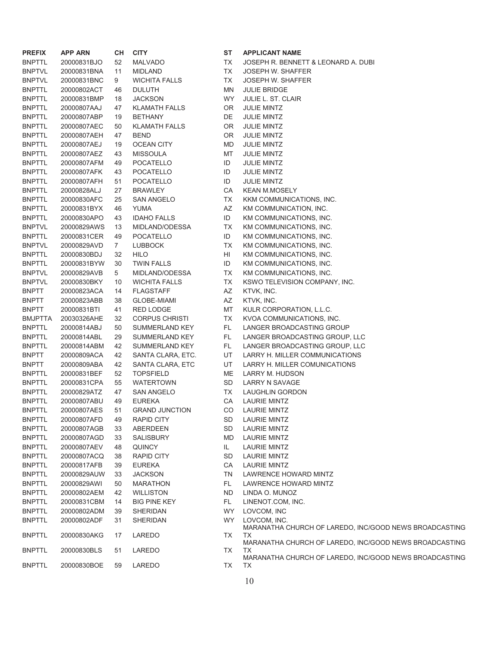| <b>PREFIX</b>  | <b>APP ARN</b> | CН          | <b>CITY</b>           | SТ        |
|----------------|----------------|-------------|-----------------------|-----------|
| <b>BNPTTL</b>  | 20000831BJO    | 52          | <b>MALVADO</b>        | ТX        |
| <b>BNPTVL</b>  | 20000831BNA    | 11          | <b>MIDLAND</b>        | ТX        |
| <b>BNPTVL</b>  | 20000831BNC    | 9           | <b>WICHITA FALLS</b>  | <b>TX</b> |
| <b>BNPTTL</b>  | 20000802ACT    | 46          | <b>DULUTH</b>         | M٨        |
| <b>BNPTTL</b>  | 20000831BMP    | 18          | <b>JACKSON</b>        | W)        |
| <b>BNPTTL</b>  | 20000807AAJ    | 47          | <b>KLAMATH FALLS</b>  | OF        |
| <b>BNPTTL</b>  | 20000807ABP    | 19          | <b>BETHANY</b>        | DE        |
| <b>BNPTTL</b>  | 20000807AEC    | 50          | <b>KLAMATH FALLS</b>  | OF        |
| <b>BNPTTL</b>  | 20000807AEH    | 47          | <b>BEND</b>           | OF        |
| <b>BNPTTL</b>  | 20000807AEJ    | 19          | <b>OCEAN CITY</b>     | МD        |
| <b>BNPTTL</b>  | 20000807AEZ    | 43          | <b>MISSOULA</b>       | MT        |
| <b>BNPTTL</b>  | 20000807AFM    | 49          | <b>POCATELLO</b>      | ID        |
| <b>BNPTTL</b>  | 20000807AFK    | 43          | <b>POCATELLO</b>      | ID        |
| <b>BNPTTL</b>  | 20000807AFH    | 51          | <b>POCATELLO</b>      | ID        |
| <b>BNPTTL</b>  | 20000828ALJ    | 27          | <b>BRAWLEY</b>        | СA        |
| <b>BNPTTL</b>  | 20000830AFC    | 25          | <b>SAN ANGELO</b>     | ТX        |
| <b>BNPTTL</b>  | 20000831BYX    | 46          | YUMA                  | AZ        |
| <b>BNPTTL</b>  | 20000830APO    | 43          | <b>IDAHO FALLS</b>    | ID        |
| <b>BNPTVL</b>  | 20000829AWS    | 13          | MIDLAND/ODESSA        | <b>TX</b> |
| <b>BNPTTL</b>  | 20000831CER    | 49          | <b>POCATELLO</b>      | ID        |
| <b>BNPTVL</b>  | 20000829AVD    | $7^{\circ}$ | <b>LUBBOCK</b>        | ТX        |
| <b>BNPTTL</b>  | 20000830BDJ    | 32          | HILO                  | HI        |
| <b>BNPTTL</b>  | 20000831BYW    | 30          | <b>TWIN FALLS</b>     | ID        |
| <b>BNPTVL</b>  | 20000829AVB    | 5           | MIDLAND/ODESSA        | ТX        |
| <b>BNPTVL</b>  | 20000830BKY    | 10          | <b>WICHITA FALLS</b>  | ТX        |
| <b>BNPTT</b>   | 20000823ACA    | 14          | <b>FLAGSTAFF</b>      | <b>AZ</b> |
| <b>BNPTT</b>   | 20000823ABB    | 38          | <b>GLOBE-MIAMI</b>    | AZ        |
| <b>BNPTT</b>   | 20000831BTI    | 41          | <b>RED LODGE</b>      | MT        |
| <b>BMJPTTA</b> | 20030326AHE    | 32          | <b>CORPUS CHRISTI</b> | ТX        |
| <b>BNPTTL</b>  | 20000814ABJ    | 50          | SUMMERLAND KEY        | FL        |
| <b>BNPTTL</b>  | 20000814ABL    | 29          | SUMMERLAND KEY        | FL        |
| <b>BNPTTL</b>  | 20000814ABM    | 42          | SUMMERLAND KEY        | FL.       |
| <b>BNPTT</b>   | 20000809ACA    | 42          | SANTA CLARA, ETC.     | UT        |
| <b>BNPTT</b>   | 20000809ABA    | 42          | SANTA CLARA, ETC      | UT        |
| <b>BNPTTL</b>  | 20000831BEF    | 52          | <b>TOPSFIELD</b>      | ME        |
| <b>BNPTTL</b>  | 20000831CPA    | 55          | <b>WATERTOWN</b>      | SD        |
| <b>BNPTTL</b>  | 20000829ATZ    | 47          | <b>SAN ANGELO</b>     | <b>TX</b> |
| <b>BNPTTL</b>  | 20000807ABU    | 49          | <b>EUREKA</b>         | СA        |
| <b>BNPTTL</b>  | 20000807AES    | 51          | <b>GRAND JUNCTION</b> | CC        |
| <b>BNPTTL</b>  | 20000807AFD    | 49          | <b>RAPID CITY</b>     | SD        |
| <b>BNPTTL</b>  | 20000807AGB    | 33          | <b>ABERDEEN</b>       | SD        |
| <b>BNPTTL</b>  | 20000807AGD    | 33          | <b>SALISBURY</b>      | <b>MD</b> |
| <b>BNPTTL</b>  | 20000807AEV    | 48          | <b>QUINCY</b>         | IL.       |
| <b>BNPTTL</b>  | 20000807ACQ    | 38          | <b>RAPID CITY</b>     | SD        |
| <b>BNPTTL</b>  | 20000817AFB    | 39          | <b>EUREKA</b>         | СA        |
| <b>BNPTTL</b>  | 20000829AUW    | 33          | <b>JACKSON</b>        | <b>TN</b> |
| <b>BNPTTL</b>  | 20000829AWI    | 50          | <b>MARATHON</b>       | FL        |
| <b>BNPTTL</b>  | 20000802AEM    | 42          | <b>WILLISTON</b>      | <b>ND</b> |
| <b>BNPTTL</b>  | 20000831CBM    | 14          | <b>BIG PINE KEY</b>   | FL.       |
| <b>BNPTTL</b>  | 20000802ADM    | 39          | <b>SHERIDAN</b>       | W)        |
| <b>BNPTTL</b>  | 20000802ADF    | 31          | <b>SHERIDAN</b>       | W         |
| <b>BNPTTL</b>  | 20000830AKG    | 17          | LAREDO                | ТX        |
| <b>BNPTTL</b>  | 20000830BLS    | 51          | LAREDO                | <b>TX</b> |
| <b>BNPTTL</b>  | 20000830BOE    | 59          | <b>LAREDO</b>         | TX        |

**ST APPLICANT NAME** TX JOSEPH R. BENNETT & LEONARD A. DUBI TX JOSEPH W. SHAFFER TX JOSEPH W. SHAFFER MN JULIE BRIDGE WY JULIE L. ST. CLAIR OR JULIE MINTZ DE JULIE MINTZ OR JULIE MINTZ OR JULIE MINTZ MD JULIE MINTZ MT JULIE MINTZ ID JULIE MINTZ ID JULIE MINTZ ID JULIE MINTZ CA KEAN M.MOSELY TX KKM COMMUNICATIONS, INC. AZ KM COMMUNICATION, INC. ID KM COMMUNICATIONS, INC. TX KM COMMUNICATIONS, INC. ID KM COMMUNICATIONS, INC. TX KM COMMUNICATIONS, INC. HI KM COMMUNICATIONS, INC. ID KM COMMUNICATIONS, INC. TX KM COMMUNICATIONS, INC. TX KSWO TELEVISION COMPANY, INC. AZ KTVK, INC. AZ KTVK, INC. MT KULR CORPORATION, L.L.C. TX KVOA COMMUNICATIONS, INC. FL LANGER BROADCASTING GROUP FL LANGER BROADCASTING GROUP, LLC FL LANGER BROADCASTING GROUP, LLC UT LARRY H. MILLER COMMUNICATIONS UT LARRY H. MILLER COMUNICATIONS ME LARRY M. HUDSON SD LARRY N SAVAGE TX LAUGHLIN GORDON CA LAURIE MINTZ CO LAURIE MINTZ SD LAURIE MINTZ SD LAURIE MINTZ MD LAURIE MINTZ IL LAURIE MINTZ SD LAURIE MINTZ CA LAURIE MINTZ TN LAWRENCE HOWARD MINTZ FL LAWRENCE HOWARD MINTZ ND LINDA O. MUNOZ FL LINENOT.COM, INC. WY LOVCOM, INC WY LOVCOM, INC. MARANATHA CHURCH OF LAREDO, INC/GOOD NEWS BROADCASTING TX

- MARANATHA CHURCH OF LAREDO, INC/GOOD NEWS BROADCASTING TX
- MARANATHA CHURCH OF LAREDO, INC/GOOD NEWS BROADCASTING TX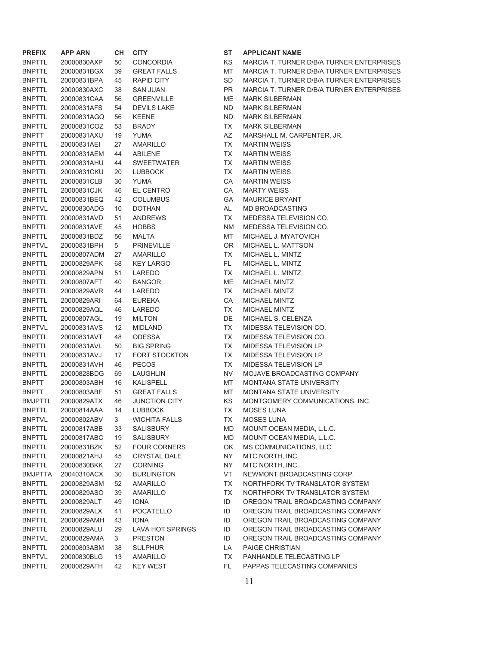| <b>PREFIX</b>  | <b>APP ARN</b> | CН       | <b>CITY</b>             | ST        | <b>APPLICANT NAME</b>                            |
|----------------|----------------|----------|-------------------------|-----------|--------------------------------------------------|
| <b>BNPTTL</b>  | 20000830AXP    | 50       | <b>CONCORDIA</b>        | ΚS        | <b>MARCIA T. TURNER D/B/A TURNER ENTERPRISES</b> |
| <b>BNPTTL</b>  | 20000831BGX    | 39       | <b>GREAT FALLS</b>      | МT        | <b>MARCIA T. TURNER D/B/A TURNER ENTERPRISES</b> |
| <b>BNPTTL</b>  | 20000831BPA    | 45       | <b>RAPID CITY</b>       | SD        | <b>MARCIA T. TURNER D/B/A TURNER ENTERPRISES</b> |
| <b>BNPTTL</b>  | 20000830AXC    | 38       | SAN JUAN                | PR.       | <b>MARCIA T. TURNER D/B/A TURNER ENTERPRISES</b> |
| <b>BNPTTL</b>  | 20000831CAA    | 56       | <b>GREENVILLE</b>       | ME        | <b>MARK SILBERMAN</b>                            |
| <b>BNPTTL</b>  | 20000831AFS    | 54       | <b>DEVILS LAKE</b>      | <b>ND</b> | <b>MARK SILBERMAN</b>                            |
| <b>BNPTTL</b>  | 20000831AGQ    | 56       | <b>KEENE</b>            | ND.       | <b>MARK SILBERMAN</b>                            |
| <b>BNPTTL</b>  | 20000831COZ    | 53       | <b>BRADY</b>            | TX        | <b>MARK SILBERMAN</b>                            |
| <b>BNPTT</b>   | 20000831AXU    | 19       | YUMA                    | AZ        | MARSHALL M. CARPENTER, JR.                       |
| <b>BNPTTL</b>  | 20000831AEI    | 27       | AMARILLO                | TX        | <b>MARTIN WEISS</b>                              |
| <b>BNPTTL</b>  | 20000831AEM    | 44       | <b>ABILENE</b>          | TX        | <b>MARTIN WEISS</b>                              |
| <b>BNPTTL</b>  | 20000831AHU    | 44       | <b>SWEETWATER</b>       | TX        | <b>MARTIN WEISS</b>                              |
| <b>BNPTTL</b>  | 20000831CKU    | 20       | <b>LUBBOCK</b>          | TX        | <b>MARTIN WEISS</b>                              |
| <b>BNPTTL</b>  | 20000831CLB    | 30       | <b>YUMA</b>             | CA        | <b>MARTIN WEISS</b>                              |
| <b>BNPTTL</b>  | 20000831CJK    | 46       | EL CENTRO               | СA        | <b>MARTY WEISS</b>                               |
| <b>BNPTTL</b>  | 20000831BEQ    | 42       | <b>COLUMBUS</b>         | GА        | <b>MAURICE BRYANT</b>                            |
| <b>BNPTVL</b>  | 20000830ADG    | 10       | <b>DOTHAN</b>           | AL        | MD BROADCASTING                                  |
| <b>BNPTTL</b>  | 20000831AVD    | 51       | <b>ANDREWS</b>          | TX        | MEDESSA TELEVISION CO.                           |
| <b>BNPTTL</b>  | 20000831AVE    | 45       | <b>HOBBS</b>            | <b>NM</b> | MEDESSA TELEVISION CO.                           |
| <b>BNPTTL</b>  | 20000831BDZ    | 56       | <b>MALTA</b>            | MT        | MICHAEL J. MYATOVICH                             |
| <b>BNPTVL</b>  | 20000831BPH    | 5        | <b>PRINEVILLE</b>       | 0R        | MICHAEL L. MATTSON                               |
| <b>BNPTTL</b>  | 20000807ADM    | 27       | AMARILLO                | TX        | MICHAEL L. MINTZ                                 |
| <b>BNPTTL</b>  | 20000829APK    | 68       | <b>KEY LARGO</b>        | FL.       | MICHAEL L. MINTZ                                 |
| <b>BNPTTL</b>  | 20000829APN    | 51       | LAREDO                  | TX        | MICHAEL L. MINTZ                                 |
| <b>BNPTTL</b>  | 20000807AFT    | 40       | <b>BANGOR</b>           | ME        | MICHAEL MINTZ                                    |
| <b>BNPTTL</b>  | 20000829AVR    | 44       | LAREDO                  | TX        | MICHAEL MINTZ                                    |
| <b>BNPTTL</b>  | 20000829ARI    | 64       | <b>EUREKA</b>           | СA        | <b>MICHAEL MINTZ</b>                             |
| <b>BNPTTL</b>  | 20000829AQL    | 46       | LAREDO                  | TX        | <b>MICHAEL MINTZ</b>                             |
| <b>BNPTTL</b>  | 20000807AGL    | 19       | <b>MILTON</b>           | DE        | MICHAEL S. CELENZA                               |
| <b>BNPTVL</b>  | 20000831AVS    | 12       | <b>MIDLAND</b>          | TX        | MIDESSA TELEVISION CO.                           |
| <b>BNPTTL</b>  | 20000831AVT    | 48       | <b>ODESSA</b>           | TX        | MIDESSA TELEVISION CO.                           |
| <b>BNPTTL</b>  | 20000831AVL    | 50       | <b>BIG SPRING</b>       | TX        | MIDESSA TELEVISION LP                            |
| <b>BNPTTL</b>  | 20000831AVJ    | 17       | <b>FORT STOCKTON</b>    | TX        | MIDESSA TELEVISION LP                            |
| <b>BNPTTL</b>  | 20000831AVH    | 46       | <b>PECOS</b>            | TX        | MIDESSA TELEVISION LP                            |
| <b>BNPTTL</b>  | 20000828BDG    | 69       | <b>LAUGHLIN</b>         | NV        | MOJAVE BROADCASTING COMPANY                      |
| <b>BNPTT</b>   | 20000803ABH    | 16       | KALISPELL               | MT        | <b>MONTANA STATE UNIVERSITY</b>                  |
| <b>BNPTT</b>   | 20000803ABF    | 51       | <b>GREAT FALLS</b>      | MT        | <b>MONTANA STATE UNIVERSITY</b>                  |
| <b>BMJPTTL</b> | 20000829ATX    | 46       | <b>JUNCTION CITY</b>    | KS        | MONTGOMERY COMMUNICATIONS, INC.                  |
| <b>BNPTTL</b>  | 20000814AAA    | 14       | <b>LUBBOCK</b>          | ТX        | <b>MOSES LUNA</b>                                |
| <b>BNPTVL</b>  | 20000802ABV    | 3        | <b>WICHITA FALLS</b>    | ТX        | <b>MOSES LUNA</b>                                |
| <b>BNPTTL</b>  | 20000817ABB    | 33       | SALISBURY               | <b>MD</b> | MOUNT OCEAN MEDIA, L.L.C.                        |
| <b>BNPTTL</b>  | 20000817ABC    | 19       | SALISBURY               | MD        | MOUNT OCEAN MEDIA, L.L.C.                        |
| <b>BNPTTL</b>  | 20000831BZK    | 52       | <b>FOUR CORNERS</b>     | OK        | MS COMMUNICATIONS, LLC                           |
| <b>BNPTTL</b>  | 20000821AHJ    | 45       | <b>CRYSTAL DALE</b>     | NY        | MTC NORTH, INC.                                  |
| <b>BNPTTL</b>  | 20000830BKK    | 27       | <b>CORNING</b>          | NY.       | MTC NORTH, INC.                                  |
| <b>BMJPTTA</b> | 20040310ACX    | 30       | <b>BURLINGTON</b>       | VT        | NEWMONT BROADCASTING CORP.                       |
| <b>BNPTTL</b>  | 20000829ASM    | 52       | AMARILLO                | TX        | NORTHFORK TV TRANSLATOR SYSTEM                   |
| <b>BNPTTL</b>  | 20000829ASO    | 39       | AMARILLO                | TX        | NORTHFORK TV TRANSLATOR SYSTEM                   |
| <b>BNPTTL</b>  | 20000829ALT    | 49       | <b>IONA</b>             | ID        | OREGON TRAIL BROADCASTING COMPANY                |
| <b>BNPTTL</b>  | 20000829ALX    | 41       | POCATELLO               | ID        | OREGON TRAIL BROADCASTING COMPANY                |
| <b>BNPTTL</b>  | 20000829AMH    | 43       | <b>IONA</b>             | ID        | OREGON TRAIL BROADCASTING COMPANY                |
| <b>BNPTTL</b>  | 20000829ALU    | 29       | <b>LAVA HOT SPRINGS</b> | ID        | OREGON TRAIL BROADCASTING COMPANY                |
| <b>BNPTVL</b>  | 20000829AMA    | 3        | <b>PRESTON</b>          | ID        | OREGON TRAIL BROADCASTING COMPANY                |
| <b>BNPTTL</b>  | 20000803ABM    |          | <b>SULPHUR</b>          |           | PAIGE CHRISTIAN                                  |
| <b>BNPTVL</b>  | 20000830BLG    | 38       | AMARILLO                | LA        | PANHANDLE TELECASTING LP                         |
|                |                | 13<br>42 |                         | TX<br>FL. |                                                  |
| <b>BNPTTL</b>  | 20000829AFH    |          | <b>KEY WEST</b>         |           | PAPPAS TELECASTING COMPANIES                     |

| ST        | <b>APPLICANT NAME</b>                            |
|-----------|--------------------------------------------------|
| KS.       | MARCIA T. TURNER D/B/A TURNER ENTERPI            |
| MT        | MARCIA T. TURNER D/B/A TURNER ENTERPI            |
| SD        | MARCIA T. TURNER D/B/A TURNER ENTERPI            |
| PR.       | MARCIA T. TURNER D/B/A TURNER ENTERPI            |
| ME.       | MARK SILBERMAN                                   |
| ND.       | <b>MARK SILBERMAN</b>                            |
| ND.       | <b>MARK SILBERMAN</b>                            |
| TX        | <b>MARK SILBERMAN</b>                            |
| AZ        | MARSHALL M. CARPENTER, JR.                       |
| <b>TX</b> | <b>MARTIN WEISS</b>                              |
| TX.       | <b>MARTIN WEISS</b>                              |
| TX I      | <b>MARTIN WEISS</b>                              |
| TX I      | <b>MARTIN WEISS</b>                              |
| CA        | <b>MARTIN WEISS</b>                              |
| CA        | <b>MARTY WEISS</b>                               |
| GA        | <b>MAURICE BRYANT</b>                            |
| AL        | MD BROADCASTING                                  |
| TX        | MEDESSA TELEVISION CO.                           |
| NM.       | MEDESSA TELEVISION CO.                           |
| MT        | MICHAEL J. MYATOVICH                             |
| OR.       | MICHAEL L. MATTSON                               |
| TX I      | MICHAEL L. MINTZ                                 |
| FL        | MICHAEL L. MINTZ                                 |
| TX I      | MICHAEL L. MINTZ                                 |
| ME.       | <b>MICHAEL MINTZ</b>                             |
| TX        | <b>MICHAEL MINTZ</b>                             |
| CA.       | <b>MICHAEL MINTZ</b>                             |
| TX        | <b>MICHAEL MINTZ</b>                             |
| DE<br>TX  | MICHAEL S. CELENZA                               |
| TX.       | MIDESSA TELEVISION CO.<br>MIDESSA TELEVISION CO. |
| TX.       | MIDESSA TELEVISION LP                            |
| TX.       | MIDESSA TELEVISION LP                            |
| TX        | MIDESSA TELEVISION LP                            |
| NV.       | MOJAVE BROADCASTING COMPANY                      |
| MT        | MONTANA STATE UNIVERSITY                         |
| MT        | <b>MONTANA STATE UNIVERSITY</b>                  |
| KS.       | MONTGOMERY COMMUNICATIONS, INC.                  |
| ТX        | MOSES LUNA                                       |
| ТX        | MOSES LUNA                                       |
| MD        | MOUNT OCEAN MEDIA, L.L.C.                        |
| MD        | MOUNT OCEAN MEDIA, L.L.C.                        |
| OK        | <b>MS COMMUNICATIONS, LLC</b>                    |
| NY.       | MTC NORTH, INC.                                  |
| NY.       | MTC NORTH, INC.                                  |
| VT        | NEWMONT BROADCASTING CORP.                       |
| ТX        | NORTHFORK TV TRANSLATOR SYSTEM                   |
| ТX        | NORTHFORK TV TRANSLATOR SYSTEM                   |
| ID        | OREGON TRAIL BROADCASTING COMPANY                |
| ID        | OREGON TRAIL BROADCASTING COMPANY                |
| ID        | OREGON TRAIL BROADCASTING COMPANY                |
| ID        | OREGON TRAIL BROADCASTING COMPANY                |
| ID        | OREGON TRAIL BROADCASTING COMPANY                |
| LA        | <b>PAIGE CHRISTIAN</b>                           |
| <b>TX</b> | PANHANDLE TELECASTING LP                         |
| FL.       | PAPPAS TELECASTING COMPANIES                     |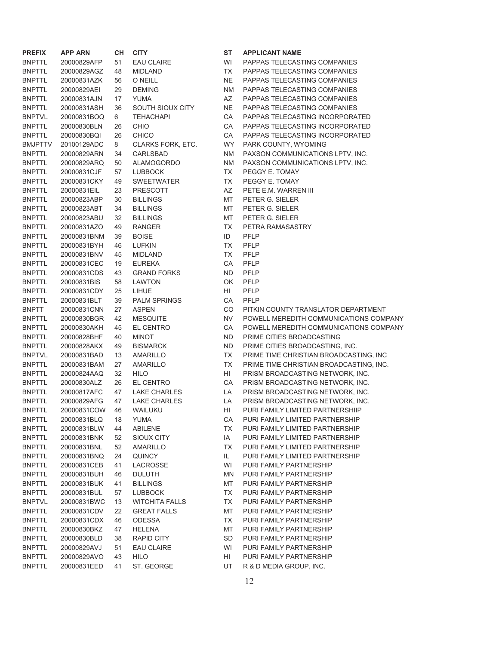| <b>PREFIX</b>  | <b>APP ARN</b> | <b>CH</b> | <b>CITY</b>             | ST        | <b>APPL</b>    |
|----------------|----------------|-----------|-------------------------|-----------|----------------|
| <b>BNPTTL</b>  | 20000829AFP    | 51        | <b>EAU CLAIRE</b>       | WI        | <b>PAPF</b>    |
| <b>BNPTTL</b>  | 20000829AGZ    | 48        | <b>MIDLAND</b>          | ТX        | <b>PAPP</b>    |
| <b>BNPTTL</b>  | 20000831AZK    | 56        | O NEILL                 | <b>NE</b> | <b>PAPP</b>    |
| <b>BNPTTL</b>  | 20000829AEI    | 29        | <b>DEMING</b>           | <b>NM</b> | <b>PAPP</b>    |
| <b>BNPTTL</b>  | 20000831AJN    | 17        | YUMA                    | AZ        | <b>PAPP</b>    |
| <b>BNPTTL</b>  | 20000831ASH    | 36        | <b>SOUTH SIOUX CITY</b> | <b>NE</b> | <b>PAPP</b>    |
| <b>BNPTVL</b>  | 20000831BOQ    | 6         | <b>TEHACHAPI</b>        | CA        | <b>PAPP</b>    |
| <b>BNPTTL</b>  | 20000830BLN    | 26        | <b>CHIO</b>             | CA        | <b>PAPP</b>    |
| <b>BNPTTL</b>  | 20000830BQI    | 26        | <b>CHICO</b>            | CA        | <b>PAPF</b>    |
| <b>BMJPTTV</b> | 20100129ADC    | 8         | CLARKS FORK, ETC.       | <b>WY</b> | <b>PARK</b>    |
| <b>BNPTTL</b>  | 20000829ARN    | 34        | <b>CARLSBAD</b>         | ΝM        | <b>PAXS</b>    |
| <b>BNPTTL</b>  | 20000829ARQ    | 50        | <b>ALAMOGORDO</b>       | ΝM        | <b>PAXS</b>    |
| BNPTTL         | 20000831CJF    | 57        | <b>LUBBOCK</b>          | ТX        | <b>PEGO</b>    |
| <b>BNPTTL</b>  | 20000831CKY    | 49        | <b>SWEETWATER</b>       | <b>TX</b> | <b>PEGO</b>    |
| <b>BNPTTL</b>  | 20000831EIL    | 23        | <b>PRESCOTT</b>         | AZ        | PETE           |
| <b>BNPTTL</b>  | 20000823ABP    | 30        | <b>BILLINGS</b>         | MT        | <b>PETE</b>    |
| <b>BNPTTL</b>  | 20000823ABT    | 34        | <b>BILLINGS</b>         | МT        | <b>PETE</b>    |
| <b>BNPTTL</b>  | 20000823ABU    | 32        | <b>BILLINGS</b>         | MT        | PETE           |
| <b>BNPTTL</b>  | 20000831AZO    | 49        | <b>RANGER</b>           | ТX        | PETR           |
| <b>BNPTTL</b>  | 20000831BNM    | 39        | <b>BOISE</b>            | ID        | PFLP           |
| BNPTTL         | 20000831BYH    | 46        | <b>LUFKIN</b>           | <b>TX</b> | PFLP           |
| <b>BNPTTL</b>  | 20000831BNV    | 45        | <b>MIDLAND</b>          | <b>TX</b> | PFLP           |
| <b>BNPTTL</b>  | 20000831CEC    | 19        | <b>EUREKA</b>           | CA        | PFLP           |
| <b>BNPTTL</b>  | 20000831CDS    | 43        | <b>GRAND FORKS</b>      | <b>ND</b> | PFLP           |
| <b>BNPTTL</b>  | 20000831BIS    | 58        | <b>LAWTON</b>           | ΟK        | <b>PFLP</b>    |
| BNPTTL         | 20000831CDY    | 25        | LIHUE                   | HI        | PFLP           |
| BNPTTL         | 20000831BLT    | 39        | <b>PALM SPRINGS</b>     | СA        | PFLP           |
| <b>BNPTT</b>   | 20000831CNN    | 27        | <b>ASPEN</b>            | CO        | <b>PITKI</b>   |
| BNPTTL         | 20000830BGR    | 42        | <b>MESQUITE</b>         | <b>NV</b> | <b>POW</b>     |
| <b>BNPTTL</b>  | 20000830AKH    | 45        | <b>EL CENTRO</b>        | CA        | <b>POW</b>     |
| <b>BNPTTL</b>  | 20000828BHF    | 40        | <b>MINOT</b>            | <b>ND</b> | <b>PRIM</b>    |
| <b>BNPTTL</b>  | 20000828AKX    | 49        | <b>BISMARCK</b>         | <b>ND</b> | <b>PRIM</b>    |
| <b>BNPTVL</b>  | 20000831BAD    | 13        | AMARILLO                | ТX        | <b>PRIM</b>    |
| <b>BNPTTL</b>  | 20000831BAM    | 27        | <b>AMARILLO</b>         | ТX        | <b>PRIM</b>    |
| <b>BNPTTL</b>  | 20000824AAQ    | 32        | <b>HILO</b>             | HI        | <b>PRISI</b>   |
| <b>BNPTTL</b>  | 20000830ALZ    | 26        | <b>EL CENTRO</b>        | CA        | <b>PRISI</b>   |
| <b>BNPTTL</b>  | 20000817AFC    | 47        | <b>LAKE CHARLES</b>     | LA        | <b>PRISI</b>   |
| <b>BNPTTL</b>  | 20000829AFG    | 47        | <b>LAKE CHARLES</b>     | LA        | <b>PRISI</b>   |
| <b>BNPTTL</b>  | 20000831COW    | 46        | WAILUKU                 | HI        | PURI           |
| <b>BNPTTL</b>  | 20000831BLQ    | 18        | <b>YUMA</b>             | CA        | <b>PURI</b>    |
| <b>BNPTTL</b>  | 20000831BLW    | 44        | <b>ABILENE</b>          | <b>TX</b> | <b>PURI</b>    |
| <b>BNPTTL</b>  | 20000831BNK    | 52        | <b>SIOUX CITY</b>       | IA        | <b>PURI</b>    |
| BNPTTL         | 20000831BNL    | 52        | <b>AMARILLO</b>         | ТX        | <b>PURI</b>    |
| <b>BNPTTL</b>  | 20000831BNQ    | 24        | <b>QUINCY</b>           | IL.       | <b>PURI</b>    |
| BNPTTL         | 20000831CEB    | 41        | LACROSSE                | WI        | <b>PURI</b>    |
| <b>BNPTTL</b>  | 20000831BUH    | 46        | <b>DULUTH</b>           | <b>MN</b> | <b>PURI</b>    |
| <b>BNPTTL</b>  | 20000831BUK    | 41        | <b>BILLINGS</b>         | MT        | <b>PURI</b>    |
| <b>BNPTTL</b>  | 20000831BUL    | 57        | <b>LUBBOCK</b>          | TX        | <b>PURI</b>    |
| <b>BNPTVL</b>  | 20000831BWC    | 13        | <b>WITCHITA FALLS</b>   | TX        | <b>PURI</b>    |
| <b>BNPTTL</b>  | 20000831CDV    | 22        | <b>GREAT FALLS</b>      | MT        | <b>PURI</b>    |
| BNPTTL         | 20000831CDX    | 46        | <b>ODESSA</b>           | ТX        | <b>PURI</b>    |
| BNPTTL         | 20000830BKZ    | 47        | <b>HELENA</b>           | MT        | <b>PURI</b>    |
| BNPTTL         | 20000830BLD    | 38        | <b>RAPID CITY</b>       | <b>SD</b> | <b>PURI</b>    |
| <b>BNPTTL</b>  | 20000829AVJ    | 51        | <b>EAU CLAIRE</b>       | WI        | <b>PURI</b>    |
| <b>BNPTTL</b>  | 20000829AVO    | 43        | <b>HILO</b>             | HI        | <b>PURI</b>    |
| <b>BNPTTL</b>  | 20000831EED    | 41        | ST. GEORGE              | UT.       | <b>R&amp;D</b> |

**ST APPLICANT NAME** WI PAPPAS TELECASTING COMPANIES TX PAPPAS TELECASTING COMPANIES NE PAPPAS TELECASTING COMPANIES NM PAPPAS TELECASTING COMPANIES AZ PAPPAS TELECASTING COMPANIES NE PAPPAS TELECASTING COMPANIES CA PAPPAS TELECASTING INCORPORATED CA PAPPAS TELECASTING INCORPORATED CA PAPPAS TELECASTING INCORPORATED WY PARK COUNTY, WYOMING NM PAXSON COMMUNICATIONS LPTV, INC. NM PAXSON COMMUNICATIONS LPTV, INC. TX PEGGY E. TOMAY TX PEGGY E. TOMAY AZ PETE E.M. WARREN III MT PETER G. SIELER MT PETER G. SIELER MT PETER G. SIELER TX PETRA RAMASASTRY CA PFLP ND PFLP OK PFLP CA PFLP CO PITKIN COUNTY TRANSLATOR DEPARTMENT NV POWELL MEREDITH COMMUNICATIONS COMPANY CA POWELL MEREDITH COMMUNICATIONS COMPANY ND PRIME CITIES BROADCASTING ND PRIME CITIES BROADCASTING, INC. TX PRIME TIME CHRISTIAN BROADCASTING, INC TX PRIME TIME CHRISTIAN BROADCASTING, INC. HIPRISM BROADCASTING NETWORK, INC. CA PRISM BROADCASTING NETWORK, INC. LA PRISM BROADCASTING NETWORK, INC. LA PRISM BROADCASTING NETWORK, INC. HI PURI FAMILY LIMITED PARTNERSHIIP CA PURI FAMILY LIMITED PARTNERSHIP TX PURI FAMILY LIMITED PARTNERSHIP IA PURI FAMILY LIMITED PARTNERSHIP TX PURI FAMILY LIMITED PARTNERSHIP IL PURI FAMILY LIMITED PARTNERSHIP WI PURI FAMILY PARTNERSHIP MN PURI FAMILY PARTNERSHIP MT PURI FAMILY PARTNERSHIP TX PURI FAMILY PARTNERSHIP TX PURI FAMILY PARTNERSHIP MT PURI FAMILY PARTNERSHIP TX PURI FAMILY PARTNERSHIP MT PURI FAMILY PARTNERSHIP SD PURI FAMILY PARTNERSHIP WI PURI FAMILY PARTNERSHIP HI PURI FAMILY PARTNERSHIP UT R & D MEDIA GROUP, INC.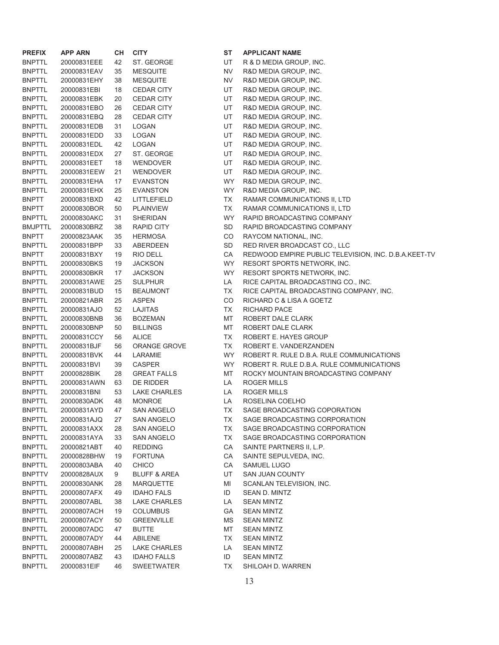| <b>PREFIX</b>  | <b>APP ARN</b> | CН | <b>CITY</b>             | <b>ST</b> | <b>APPLICANT NAME</b>     |
|----------------|----------------|----|-------------------------|-----------|---------------------------|
| <b>BNPTTL</b>  | 20000831EEE    | 42 | ST. GEORGE              | UT        | R & D MEDIA GROUP,        |
| <b>BNPTTL</b>  | 20000831EAV    | 35 | <b>MESQUITE</b>         | <b>NV</b> | R&D MEDIA GROUP, II       |
| <b>BNPTTL</b>  | 20000831EHY    | 38 | <b>MESQUITE</b>         | <b>NV</b> | R&D MEDIA GROUP, II       |
| <b>BNPTTL</b>  | 20000831EBI    | 18 | <b>CEDAR CITY</b>       | UT        | R&D MEDIA GROUP, II       |
| <b>BNPTTL</b>  | 20000831EBK    | 20 | <b>CEDAR CITY</b>       | UT        | R&D MEDIA GROUP, II       |
| <b>BNPTTL</b>  | 20000831EBO    | 26 | <b>CEDAR CITY</b>       | UT        | R&D MEDIA GROUP, II       |
| <b>BNPTTL</b>  | 20000831EBQ    | 28 | <b>CEDAR CITY</b>       | UT        | R&D MEDIA GROUP, II       |
| <b>BNPTTL</b>  | 20000831EDB    | 31 | <b>LOGAN</b>            | UT        | R&D MEDIA GROUP, II       |
| <b>BNPTTL</b>  | 20000831EDD    | 33 | LOGAN                   | UT        | R&D MEDIA GROUP, II       |
| <b>BNPTTL</b>  | 20000831EDL    | 42 | LOGAN                   | UT        | R&D MEDIA GROUP, II       |
| <b>BNPTTL</b>  | 20000831EDX    | 27 | ST. GEORGE              | UT        | R&D MEDIA GROUP, II       |
| <b>BNPTTL</b>  | 20000831EET    | 18 | <b>WENDOVER</b>         | UT        | R&D MEDIA GROUP, II       |
| <b>BNPTTL</b>  | 20000831EEW    | 21 | <b>WENDOVER</b>         | <b>UT</b> | R&D MEDIA GROUP, II       |
| <b>BNPTTL</b>  | 20000831EHA    | 17 | <b>EVANSTON</b>         | <b>WY</b> | R&D MEDIA GROUP, II       |
| <b>BNPTTL</b>  | 20000831EHX    | 25 | <b>EVANSTON</b>         | <b>WY</b> | R&D MEDIA GROUP, II       |
| <b>BNPTT</b>   | 20000831BXD    | 42 | LITTLEFIELD             | <b>TX</b> | <b>RAMAR COMMUNICAT</b>   |
| <b>BNPTT</b>   | 20000830BOR    | 50 | <b>PLAINVIEW</b>        | <b>TX</b> | <b>RAMAR COMMUNICAT</b>   |
| <b>BNPTTL</b>  | 20000830AKC    | 31 | <b>SHERIDAN</b>         | <b>WY</b> | <b>RAPID BROADCASTIN</b>  |
| <b>BMJPTTL</b> | 20000830BRZ    | 38 | <b>RAPID CITY</b>       | SD        | RAPID BROADCASTIN         |
| <b>BNPTT</b>   | 20000823AAK    | 35 | <b>HERMOSA</b>          | CO        | RAYCOM NATIONAL, I        |
| <b>BNPTTL</b>  | 20000831BPP    | 33 | <b>ABERDEEN</b>         | SD        | RED RIVER BROADCA         |
| <b>BNPTT</b>   | 20000831BXY    | 19 | RIO DELL                | CA        | REDWOOD EMPIRE P          |
| <b>BNPTTL</b>  | 20000830BKS    | 19 | <b>JACKSON</b>          | <b>WY</b> | <b>RESORT SPORTS NET</b>  |
| <b>BNPTTL</b>  | 20000830BKR    | 17 | <b>JACKSON</b>          | <b>WY</b> | <b>RESORT SPORTS NET</b>  |
| <b>BNPTTL</b>  | 20000831AWE    | 25 | <b>SULPHUR</b>          | LA        | RICE CAPITAL BROAD        |
| <b>BNPTTL</b>  | 20000831BUD    | 15 | <b>BEAUMONT</b>         | TX        | RICE CAPITAL BROAD        |
| <b>BNPTTL</b>  | 20000821ABR    | 25 | <b>ASPEN</b>            | CO        | RICHARD C & LISA A 0      |
| <b>BNPTTL</b>  | 20000831AJO    | 52 | <b>LAJITAS</b>          | <b>TX</b> | <b>RICHARD PACE</b>       |
| <b>BNPTTL</b>  | 20000830BNB    | 36 | <b>BOZEMAN</b>          | MT        | ROBERT DALE CLARK         |
| <b>BNPTTL</b>  | 20000830BNP    | 50 | <b>BILLINGS</b>         | MT        | ROBERT DALE CLARK         |
| <b>BNPTTL</b>  | 20000831CCY    | 56 | <b>ALICE</b>            | TX        | ROBERT E. HAYES GF        |
| <b>BNPTTL</b>  | 20000831BJF    | 56 | <b>ORANGE GROVE</b>     | <b>TX</b> | ROBERT E. VANDERZ         |
| <b>BNPTTL</b>  | 20000831BVK    | 44 | LARAMIE                 | <b>WY</b> | ROBERT R. RULE D.B.       |
| <b>BNPTTL</b>  | 20000831BVI    | 39 | <b>CASPER</b>           | <b>WY</b> | ROBERT R. RULE D.B.       |
| <b>BNPTT</b>   | 20000828BIK    | 28 | <b>GREAT FALLS</b>      | MT        | ROCKY MOUNTAIN BF         |
| <b>BNPTTL</b>  | 20000831AWN    | 63 | <b>DE RIDDER</b>        | LA        | <b>ROGER MILLS</b>        |
| <b>BNPTTL</b>  | 20000831BNI    | 53 | <b>LAKE CHARLES</b>     | LA        | <b>ROGER MILLS</b>        |
| <b>BNPTTL</b>  | 20000830ADK    | 48 | <b>MONROE</b>           | LA        | ROSELINA COELHO           |
| <b>BNPTTL</b>  | 20000831AYD    | 47 | <b>SAN ANGELO</b>       | <b>TX</b> | SAGE BROADCASTIN          |
| <b>BNPTTL</b>  | 20000831AJQ    | 27 | <b>SAN ANGELO</b>       | ТX        | <b>SAGE BROADCASTIN</b>   |
| <b>BNPTTL</b>  | 20000831AXX    | 28 | <b>SAN ANGELO</b>       | TX        | <b>SAGE BROADCASTIN</b>   |
| <b>BNPTTL</b>  | 20000831AYA    | 33 | <b>SAN ANGELO</b>       | TX        | SAGE BROADCASTIN          |
| <b>BNPTTL</b>  | 20000821ABT    | 40 | <b>REDDING</b>          | CA        | SAINTE PARTNERS II,       |
| <b>BNPTTL</b>  | 20000828BHW    | 19 | <b>FORTUNA</b>          | CA        | SAINTE SEPULVEDA,         |
| <b>BNPTTL</b>  | 20000803ABA    | 40 | <b>CHICO</b>            | CA        | SAMUEL LUGO               |
| <b>BNPTTV</b>  | 20000828AUX    | 9  | <b>BLUFF &amp; AREA</b> | UT        | SAN JUAN COUNTY           |
| <b>BNPTTL</b>  | 20000830ANK    | 28 | <b>MARQUETTE</b>        | MI        | <b>SCANLAN TELEVISION</b> |
| <b>BNPTTL</b>  | 20000807AFX    | 49 | <b>IDAHO FALS</b>       | ID        | SEAN D. MINTZ             |
| <b>BNPTTL</b>  | 20000807ABL    | 38 | <b>LAKE CHARLES</b>     | LA        | <b>SEAN MINTZ</b>         |
| <b>BNPTTL</b>  | 20000807ACH    | 19 | <b>COLUMBUS</b>         | GА        | <b>SEAN MINTZ</b>         |
| <b>BNPTTL</b>  | 20000807ACY    | 50 | <b>GREENVILLE</b>       | <b>MS</b> | <b>SEAN MINTZ</b>         |
| <b>BNPTTL</b>  | 20000807ADC    | 47 | <b>BUTTE</b>            | MT        | <b>SEAN MINTZ</b>         |
| <b>BNPTTL</b>  | 20000807ADY    | 44 | <b>ABILENE</b>          | TX        | <b>SEAN MINTZ</b>         |
| <b>BNPTTL</b>  | 20000807ABH    | 25 | <b>LAKE CHARLES</b>     | LA        | <b>SEAN MINTZ</b>         |
| <b>BNPTTL</b>  | 20000807ABZ    | 43 | <b>IDAHO FALLS</b>      | ID        | <b>SEAN MINTZ</b>         |
| <b>BNPTTL</b>  | 20000831EIF    | 46 | <b>SWEETWATER</b>       | TX        | SHILOAH D. WARREN         |

**ST APPLICANT NAME** UT R & D MEDIA GROUP, INC. NV R&D MEDIA GROUP, INC. NV R&D MEDIA GROUP, INC. UT R&D MEDIA GROUP, INC. UT R&D MEDIA GROUP, INC. UT R&D MEDIA GROUP, INC. UT R&D MEDIA GROUP, INC. UT R&D MEDIA GROUP, INC. UT R&D MEDIA GROUP, INC. UT R&D MEDIA GROUP, INC. UT R&D MEDIA GROUP, INC. UT R&D MEDIA GROUP, INC. UT R&D MEDIA GROUP, INC. WY R&D MEDIA GROUP, INC. WY R&D MEDIA GROUP, INC. TX RAMAR COMMUNICATIONS II, LTD TX RAMAR COMMUNICATIONS II, LTD WY RAPID BROADCASTING COMPANY SD RAPID BROADCASTING COMPANY CO RAYCOM NATIONAL, INC. SD RED RIVER BROADCAST CO., LLC CA REDWOOD EMPIRE PUBLIC TELEVISION, INC. D.B.A.KEET-TV WY RESORT SPORTS NETWORK, INC. WY RESORT SPORTS NETWORK, INC. LA RICE CAPITAL BROADCASTING CO., INC. TX RICE CAPITAL BROADCASTING COMPANY, INC. CO RICHARD C & LISA A GOETZ TX RICHARD PACE MT ROBERT DALE CLARK MT ROBERT DALE CLARK TX ROBERT E. HAYES GROUP TX ROBERT E. VANDERZANDEN WY ROBERT R. RULE D.B.A. RULE COMMUNICATIONS WY ROBERT R. RULE D.B.A. RULE COMMUNICATIONS MT ROCKY MOUNTAIN BROADCASTING COMPANY LA ROGER MILLS LA ROGER MILLS LA ROSELINA COELHO TX SAGE BROADCASTING COPORATION TX SAGE BROADCASTING CORPORATION TX SAGE BROADCASTING CORPORATION TX SAGE BROADCASTING CORPORATION CA SAINTE PARTNERS II, L.P. CA SAINTE SEPULVEDA, INC. CA SAMUEL LUGO UT SAN JUAN COUNTY MI SCANLAN TELEVISION, INC. ID SEAN D. MINTZ LA SEAN MINTZ GA SEAN MINTZ MS SEAN MINTZ MT SEAN MINTZ TX SEAN MINTZ LA SEAN MINTZ ID SEAN MINTZ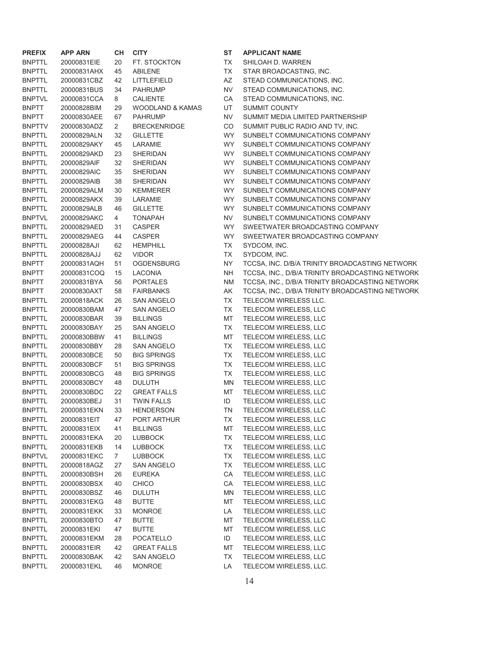| <b>PREFIX</b> | APP ARN     | CН             | <b>CITY</b>         |
|---------------|-------------|----------------|---------------------|
| <b>BNPTTL</b> | 20000831EIE | 20             | FT. STOCKTON        |
| BNPTTL        | 20000831AHX | 45             | <b>ABILENE</b>      |
| BNPTTL        | 20000831CBZ | 42             | LITTLEFIELD         |
| BNPTTL        | 20000831BUS | 34             | <b>PAHRUMP</b>      |
| <b>BNPTVL</b> | 20000831CCA | 8              | <b>CALIENTE</b>     |
| <b>BNPTT</b>  | 20000828BIM | 29             | WOODLAND & KAMAS    |
| <b>BNPTT</b>  | 20000830AEE | 67             | PAHRUMP             |
| <b>BNPTTV</b> | 20000830ADZ | 2              | <b>BRECKENRIDGE</b> |
| <b>BNPTTL</b> | 20000829ALN | 32             | GILLETTE            |
| <b>BNPTTL</b> | 20000829AKY | 45             | LARAMIE             |
| <b>BNPTTL</b> | 20000829AKD | 23             | SHERIDAN            |
| <b>BNPTTL</b> | 20000829AIF | 32             | SHERIDAN            |
| <b>BNPTTL</b> | 20000829AIC | 35             | SHERIDAN            |
| <b>BNPTTL</b> | 20000829AIB | 38             | SHERIDAN            |
| BNPTTL        | 20000829ALM | 30             | KEMMERER            |
| <b>BNPTTL</b> | 20000829AKX | 39             | LARAMIE             |
| <b>BNPTTL</b> | 20000829ALB | 46             | GILLETTE            |
| <b>BNPTVL</b> | 20000829AKC | 4              | TONAPAH             |
| BNPTTL        | 20000829AED | 31             | CASPER              |
| <b>BNPTTL</b> | 20000829AEG | 44             | CASPER              |
| <b>BNPTTL</b> | 20000828AJI | 62             | <b>HEMPHILL</b>     |
| <b>BNPTTL</b> | 20000828AJJ | 62             | VIDOR               |
| <b>BNPTT</b>  | 20000831AQH | 51             | <b>OGDENSBURG</b>   |
| <b>BNPTT</b>  | 20000831COO | 15             | LACONIA             |
| <b>BNPTT</b>  | 20000831BYA | 56             | <b>PORTALES</b>     |
| <b>BNPTT</b>  | 20000830AXT | 58             | <b>FAIRBANKS</b>    |
| <b>BNPTTL</b> | 20000818ACK | 26             | SAN ANGELO          |
| <b>BNPTTL</b> | 20000830BAM | 47             | SAN ANGELO          |
| <b>BNPTTL</b> | 20000830BAR | 39             | BILLINGS            |
| BNPTTL        | 20000830BAY | 25             | SAN ANGELO          |
| BNPTTL        | 20000830BBW | 41             | <b>BILLINGS</b>     |
| <b>BNPTTL</b> | 20000830BBY | 28             | SAN ANGELO          |
| <b>BNPTTL</b> | 20000830BCE | 50             | <b>BIG SPRINGS</b>  |
| BNPTTL        | 20000830BCF | 51             | <b>BIG SPRINGS</b>  |
| <b>BNPTTL</b> | 20000830BCG | 48             | <b>BIG SPRINGS</b>  |
| BNPTTL        | 20000830BCY | 48             | DULUTH              |
| <b>BNPTTL</b> | 20000830BDC | 22             | <b>GREAT FALLS</b>  |
| BNPTTL        | 20000830BEJ | 31             | <b>TWIN FALLS</b>   |
| BNPTTL        | 20000831EKN | 33             | HENDERSON           |
| BNPTTL        | 20000831EIT | 47             | PORT ARTHUR         |
| <b>BNPTTL</b> | 20000831EIX | 41             | BILLINGS            |
| <b>BNPTTL</b> | 20000831EKA | 20             | <b>LUBBOCK</b>      |
| BNPTTL        | 20000831EKB | 14             | <b>LUBBOCK</b>      |
| <b>BNPTVL</b> | 20000831EKC | $\overline{7}$ | <b>LUBBOCK</b>      |
| BNPTTL        | 20000818AGZ | 27             | SAN ANGELO          |
| BNPTTL        | 20000830BSH | 26             | EUREKA              |
| <b>BNPTTL</b> | 20000830BSX | 40             | CHICO               |
| <b>BNPTTL</b> | 20000830BSZ | 46             | DULUTH              |
| BNPTTL        | 20000831EKG | 48             | BUTTE               |
| <b>BNPTTL</b> | 20000831EKK | 33             | MONROE              |
| BNPTTL        | 20000830BTO | 47             | <b>BUTTE</b>        |
| <b>BNPTTL</b> | 20000831EKI | 47             | BUTTE               |
| BNPTTL        | 20000831EKM | 28             | POCATELLO           |
| <b>BNPTTL</b> | 20000831EIR | 42             | <b>GREAT FALLS</b>  |
| <b>BNPTTL</b> | 20000830BAK | 42             | SAN ANGELO          |
| <b>BNPTTL</b> | 20000831EKL | 46             | <b>MONROE</b>       |

**ST APPLICANT NAME** TX SHILOAH D. WARREN TX STAR BROADCASTING, INC. AZ STEAD COMMUNICATIONS, INC. NV STEAD COMMUNICATIONS, INC. CA STEAD COMMUNICATIONS, INC. UT SUMMIT COUNTY NV SUMMIT MEDIA LIMITED PARTNERSHIP CO SUMMIT PUBLIC RADIO AND TV, INC. WY SUNBELT COMMUNICATIONS COMPANY WY SUNBELT COMMUNICATIONS COMPANY WY SUNBELT COMMUNICATIONS COMPANY WY SUNBELT COMMUNICATIONS COMPANY WY SUNBELT COMMUNICATIONS COMPANY WY SUNBELT COMMUNICATIONS COMPANY WY SUNBELT COMMUNICATIONS COMPANY WY SUNBELT COMMUNICATIONS COMPANY WY SUNBELT COMMUNICATIONS COMPANY NV SUNBELT COMMUNICATIONS COMPANY WY SWEETWATER BROADCASTING COMPANY WY SWEETWATER BROADCASTING COMPANY TX SYDCOM, INC. TX SYDCOM, INC. NY TCCSA, INC. D/B/A TRINITY BROADCASTING NETWORK NH TCCSA, INC., D/B/A TRINITY BROADCASTING NETWORK NM TCCSA, INC., D/B/A TRINITY BROADCASTING NETWORK AK TCCSA, INC., D/B/A TRINITY BROADCASTING NETWORK TX TELECOM WIRELESS LLC. TX TELECOM WIRELESS, LLC MT TELECOM WIRELESS, LLC TX TELECOM WIRELESS, LLC MT TELECOM WIRELESS, LLC TX TELECOM WIRELESS, LLC TX TELECOM WIRELESS, LLC TX TELECOM WIRELESS, LLC TX TELECOM WIRELESS, LLC MN TELECOM WIRELESS, LLC MT TELECOM WIRELESS, LLC ID TELECOM WIRELESS, LLC TN TELECOM WIRELESS, LLC TX TELECOM WIRELESS, LLC MT TELECOM WIRELESS, LLC TX TELECOM WIRELESS, LLC TX TELECOM WIRELESS, LLC TX TELECOM WIRELESS, LLC TX TELECOM WIRELESS, LLC CA TELECOM WIRELESS, LLC CA TELECOM WIRELESS, LLC MN TELECOM WIRELESS, LLC MT TELECOM WIRELESS, LLC LA TELECOM WIRELESS, LLC MT TELECOM WIRELESS, LLC MT TELECOM WIRELESS, LLC ID TELECOM WIRELESS, LLC MT TELECOM WIRELESS, LLC TX TELECOM WIRELESS, LLC LA TELECOM WIRELESS, LLC.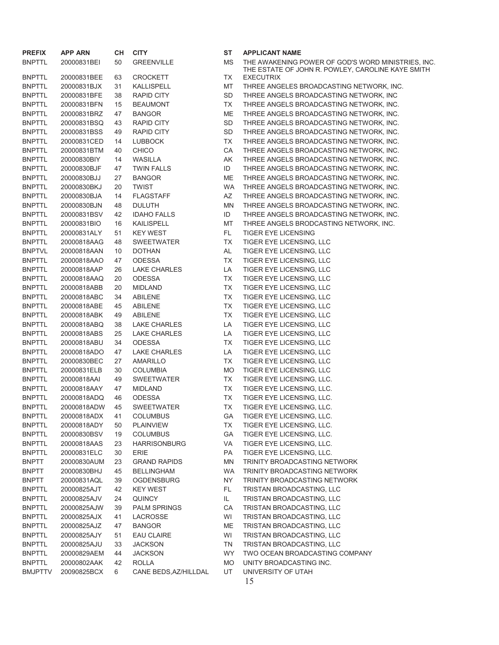| <b>PREFIX</b>  | APP ARN     | <b>CH</b> | <b>CITY</b>           | SТ        | <b>APPLICANT NAME</b>                                                                                   |
|----------------|-------------|-----------|-----------------------|-----------|---------------------------------------------------------------------------------------------------------|
| <b>BNPTTL</b>  | 20000831BEI | 50        | <b>GREENVILLE</b>     | MS        | THE AWAKENING POWER OF GOD'S WORD MINISTRIES, INC.<br>THE ESTATE OF JOHN R. POWLEY, CAROLINE KAYE SMITH |
| <b>BNPTTL</b>  | 20000831BEE | 63        | <b>CROCKETT</b>       | TX        | <b>EXECUTRIX</b>                                                                                        |
| <b>BNPTTL</b>  | 20000831BJX | 31        | <b>KALLISPELL</b>     | MT        | THREE ANGELES BROADCASTING NETWORK, INC.                                                                |
| <b>BNPTTL</b>  | 20000831BFE | 38        | <b>RAPID CITY</b>     | <b>SD</b> | THREE ANGELS BROADCASTING NETWORK, INC                                                                  |
| <b>BNPTTL</b>  | 20000831BFN | 15        | <b>BEAUMONT</b>       | TX        | THREE ANGELS BROADCASTING NETWORK, INC.                                                                 |
| <b>BNPTTL</b>  | 20000831BRZ | 47        | <b>BANGOR</b>         | ME        | THREE ANGELS BROADCASTING NETWORK, INC.                                                                 |
| <b>BNPTTL</b>  | 20000831BSQ | 43        | <b>RAPID CITY</b>     | SD        | THREE ANGELS BROADCASTING NETWORK, INC.                                                                 |
| <b>BNPTTL</b>  | 20000831BSS | 49        | <b>RAPID CITY</b>     | <b>SD</b> | THREE ANGELS BROADCASTING NETWORK, INC.                                                                 |
| <b>BNPTTL</b>  | 20000831CED | 14        | <b>LUBBOCK</b>        | TX        | THREE ANGELS BROADCASTING NETWORK, INC.                                                                 |
| <b>BNPTTL</b>  | 20000831BTM | 40        | <b>CHICO</b>          | CA        | THREE ANGELS BROADCASTING NETWORK, INC.                                                                 |
| <b>BNPTTL</b>  | 20000830BIY | 14        | WASILLA               | AK        | THREE ANGELS BROADCASTING NETWORK, INC.                                                                 |
| <b>BNPTTL</b>  | 20000830BJF | 47        | <b>TWIN FALLS</b>     | ID        | THREE ANGELS BROADCASTING NETWORK, INC.                                                                 |
| <b>BNPTTL</b>  | 20000830BJJ | 27        | <b>BANGOR</b>         | ME        | THREE ANGELS BROADCASTING NETWORK, INC.                                                                 |
| <b>BNPTTL</b>  | 20000830BKJ | 20        | <b>TWIST</b>          | <b>WA</b> | THREE ANGELS BROADCASTING NETWORK, INC.                                                                 |
| <b>BNPTTL</b>  | 20000830BJA | 14        | <b>FLAGSTAFF</b>      | AZ        | THREE ANGELS BROADCASTING NETWORK, INC.                                                                 |
| <b>BNPTTL</b>  | 20000830BJN | 48        | <b>DULUTH</b>         | MN        | THREE ANGELS BROADCASTING NETWORK, INC.                                                                 |
| <b>BNPTTL</b>  | 20000831BSV | 42        | <b>IDAHO FALLS</b>    | ID        | THREE ANGELS BROADCASTING NETWORK, INC.                                                                 |
| <b>BNPTTL</b>  | 20000831BIO | 16        | <b>KAILISPELL</b>     | МT        | THREE ANGELS BRODCASTING NETWORK, INC.                                                                  |
| <b>BNPTTL</b>  | 20000831ALY | 51        | <b>KEY WEST</b>       | FL.       | <b>TIGER EYE LICENSING</b>                                                                              |
| <b>BNPTTL</b>  | 20000818AAG | 48        | <b>SWEETWATER</b>     | TX        | TIGER EYE LICENSING, LLC                                                                                |
| <b>BNPTVL</b>  | 20000818AAN | 10        | <b>DOTHAN</b>         | AL        | TIGER EYE LICENSING, LLC                                                                                |
| <b>BNPTTL</b>  | 20000818AAO | 47        | <b>ODESSA</b>         | TX        | TIGER EYE LICENSING, LLC                                                                                |
| <b>BNPTTL</b>  | 20000818AAP | 26        | <b>LAKE CHARLES</b>   | LA        | TIGER EYE LICENSING, LLC                                                                                |
| <b>BNPTTL</b>  | 20000818AAQ | 20        | <b>ODESSA</b>         | TX        | TIGER EYE LICENSING, LLC                                                                                |
| <b>BNPTTL</b>  | 20000818ABB | 20        | <b>MIDLAND</b>        | TX        | TIGER EYE LICENSING, LLC                                                                                |
| <b>BNPTTL</b>  | 20000818ABC | 34        | ABILENE               | TX        | TIGER EYE LICENSING, LLC                                                                                |
| <b>BNPTTL</b>  | 20000818ABE | 45        | ABILENE               | TX        | TIGER EYE LICENSING, LLC                                                                                |
| <b>BNPTTL</b>  | 20000818ABK | 49        | ABILENE               | <b>TX</b> | TIGER EYE LICENSING, LLC                                                                                |
| <b>BNPTTL</b>  | 20000818ABQ | 38        | LAKE CHARLES          | LA        | TIGER EYE LICENSING, LLC                                                                                |
| <b>BNPTTL</b>  | 20000818ABS | 25        | <b>LAKE CHARLES</b>   | LA        | TIGER EYE LICENSING, LLC                                                                                |
| <b>BNPTTL</b>  | 20000818ABU | 34        | <b>ODESSA</b>         | TX        | TIGER EYE LICENSING, LLC                                                                                |
| <b>BNPTTL</b>  | 20000818ADO | 47        | <b>LAKE CHARLES</b>   | LA        | TIGER EYE LICENSING, LLC                                                                                |
| <b>BNPTTL</b>  | 20000830BEC | 27        | AMARILLO              | TX        | TIGER EYE LICENSING, LLC                                                                                |
| <b>BNPTTL</b>  | 20000831ELB | 30        | <b>COLUMBIA</b>       | <b>MO</b> | TIGER EYE LICENSING, LLC                                                                                |
| <b>BNPTTL</b>  | 20000818AAI | 49        | <b>SWEETWATER</b>     | TX        | TIGER EYE LICENSING, LLC.                                                                               |
| <b>BNPTTL</b>  | 20000818AAY | 47        | <b>MIDLAND</b>        | TX        | TIGER EYE LICENSING, LLC.                                                                               |
| <b>BNPTTL</b>  | 20000818ADQ | 46        | <b>ODESSA</b>         | TX        | TIGER EYE LICENSING, LLC.                                                                               |
| <b>BNPTTL</b>  | 20000818ADW | 45        | <b>SWEETWATER</b>     | <b>TX</b> | TIGER EYE LICENSING, LLC.                                                                               |
| <b>BNPTTL</b>  | 20000818ADX | 41        | <b>COLUMBUS</b>       | GA        | TIGER EYE LICENSING, LLC.                                                                               |
| <b>BNPTTL</b>  | 20000818ADY | 50        | <b>PLAINVIEW</b>      | ТX        | TIGER EYE LICENSING, LLC.                                                                               |
| <b>BNPTTL</b>  | 20000830BSV | 19        | <b>COLUMBUS</b>       | GA        | TIGER EYE LICENSING, LLC.                                                                               |
| <b>BNPTTL</b>  | 20000818AAS | 23        | <b>HARRISONBURG</b>   | VA        | TIGER EYE LICENSING, LLC.                                                                               |
| <b>BNPTTL</b>  | 20000831ELC | 30        | <b>ERIE</b>           | PA        | TIGER EYE LICENSING, LLC.                                                                               |
| <b>BNPTT</b>   | 20000830AUM | 23        | <b>GRAND RAPIDS</b>   | ΜN        | TRINITY BROADCASTING NETWORK                                                                            |
| <b>BNPTT</b>   | 20000830BHJ | 45        | <b>BELLINGHAM</b>     | <b>WA</b> | TRINITY BROADCASTING NETWORK                                                                            |
| <b>BNPTT</b>   | 20000831AQL | 39        | <b>OGDENSBURG</b>     | NY.       | TRINITY BROADCASTING NETWORK                                                                            |
| <b>BNPTTL</b>  | 20000825AJT | 42        | KEY WEST              | FL.       | TRISTAN BROADCASTING, LLC                                                                               |
| <b>BNPTTL</b>  | 20000825AJV | 24        | QUINCY                | IL.       | TRISTAN BROADCASTING, LLC                                                                               |
| <b>BNPTTL</b>  | 20000825AJW | 39        | <b>PALM SPRINGS</b>   | CA        | TRISTAN BROADCASTING, LLC                                                                               |
| <b>BNPTTL</b>  | 20000825AJX | 41        | LACROSSE              | WI        | TRISTAN BROADCASTING, LLC                                                                               |
| <b>BNPTTL</b>  | 20000825AJZ | 47        | <b>BANGOR</b>         | ME        | TRISTAN BROADCASTING, LLC                                                                               |
| <b>BNPTTL</b>  | 20000825AJY | 51        | <b>EAU CLAIRE</b>     | WI        | TRISTAN BROADCASTING, LLC                                                                               |
| <b>BNPTTL</b>  | 20000825AJU | 33        | <b>JACKSON</b>        | TN        | TRISTAN BROADCASTING, LLC                                                                               |
| <b>BNPTTL</b>  | 20000829AEM | 44        | <b>JACKSON</b>        | WY.       | TWO OCEAN BROADCASTING COMPANY                                                                          |
| <b>BNPTTL</b>  | 20000802AAK | 42        | <b>ROLLA</b>          | МO        | UNITY BROADCASTING INC.                                                                                 |
| <b>BMJPTTV</b> | 20090825BCX | 6         | CANE BEDS, AZ/HILLDAL | UT        | UNIVERSITY OF UTAH                                                                                      |
|                |             |           |                       |           |                                                                                                         |

| ST        | <b>APPLICANT NAME</b>                             |
|-----------|---------------------------------------------------|
| <b>MS</b> | THE AWAKENING POWER OF GOD'S WORD MINISTRIES, INC |
|           | THE ESTATE OF JOHN R. POWLEY, CAROLINE KAYE SMITH |
| ТX        | <b>EXECUTRIX</b>                                  |
| МT        | THREE ANGELES BROADCASTING NETWORK, INC.          |
| SD        | THREE ANGELS BROADCASTING NETWORK, INC            |
| ТX        | THREE ANGELS BROADCASTING NETWORK, INC.           |
| МE        | THREE ANGELS BROADCASTING NETWORK, INC.           |
| SD        | THREE ANGELS BROADCASTING NETWORK, INC.           |
| SD        | THREE ANGELS BROADCASTING NETWORK, INC.           |
| ТX        | THREE ANGELS BROADCASTING NETWORK, INC.           |
| CA        | THREE ANGELS BROADCASTING NETWORK, INC.           |
| AΚ        | THREE ANGELS BROADCASTING NETWORK, INC.           |
| ID        | THREE ANGELS BROADCASTING NETWORK, INC.           |
| МE        | THREE ANGELS BROADCASTING NETWORK, INC.           |
| WA        | THREE ANGELS BROADCASTING NETWORK, INC.           |
| AΖ        | THREE ANGELS BROADCASTING NETWORK, INC.           |
| ΜN        | THREE ANGELS BROADCASTING NETWORK, INC.           |
| ID        | THREE ANGELS BROADCASTING NETWORK, INC.           |
|           |                                                   |
| МT        | THREE ANGELS BRODCASTING NETWORK, INC.            |
| FL.       | <b>TIGER EYE LICENSING</b>                        |
| <b>TX</b> | TIGER EYE LICENSING, LLC                          |
| AL        | TIGER EYE LICENSING, LLC                          |
| ТX        | TIGER EYE LICENSING, LLC                          |
| LA        | TIGER EYE LICENSING, LLC                          |
| TX        | TIGER EYE LICENSING, LLC                          |
| TX        | TIGER EYE LICENSING, LLC                          |
| TX        | TIGER EYE LICENSING, LLC                          |
| ТX        | TIGER EYE LICENSING, LLC                          |
| ТX        | TIGER EYE LICENSING, LLC                          |
| LA        | TIGER EYE LICENSING, LLC                          |
| LA        | TIGER EYE LICENSING, LLC                          |
| TX        | TIGER EYE LICENSING, LLC                          |
| LA        | TIGER EYE LICENSING, LLC                          |
| ТX        | TIGER EYE LICENSING, LLC                          |
| МO        | TIGER EYE LICENSING, LLC                          |
| ТX        | TIGER EYE LICENSING, LLC.                         |
| ТX        | TIGER EYE LICENSING, LLC.                         |
| ТX        | TIGER EYE LICENSING, LLC.                         |
| ТX        | TIGER EYE LICENSING, LLC.                         |
| GA        | TIGER EYE LICENSING, LLC.                         |
| TX        | TIGER EYE LICENSING, LLC.                         |
| GА        | TIGER EYE LICENSING, LLC.                         |
| VA        | TIGER EYE LICENSING, LLC.                         |
| PA        | TIGER EYE LICENSING, LLC.                         |
| MN        | TRINITY BROADCASTING NETWORK                      |
| WA.       | TRINITY BROADCASTING NETWORK                      |
| NY .      | TRINITY BROADCASTING NETWORK                      |
| FL.       | TRISTAN BROADCASTING, LLC                         |
| IL.       | TRISTAN BROADCASTING, LLC                         |
| СA        | TRISTAN BROADCASTING, LLC                         |
| WI        | TRISTAN BROADCASTING, LLC                         |
|           |                                                   |
| МE        | TRISTAN BROADCASTING, LLC                         |
| WI        | TRISTAN BROADCASTING, LLC                         |
| TN        | TRISTAN BROADCASTING, LLC                         |
| WY.       | TWO OCEAN BROADCASTING COMPANY                    |
| МO        | UNITY BROADCASTING INC.                           |
| UT        | UNIVERSITY OF UTAH                                |
|           | 15                                                |